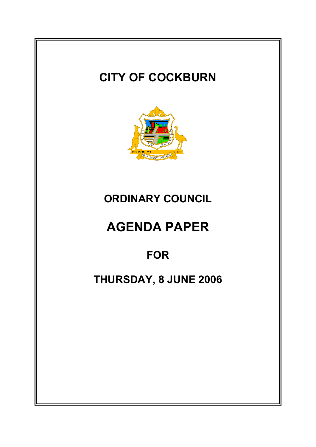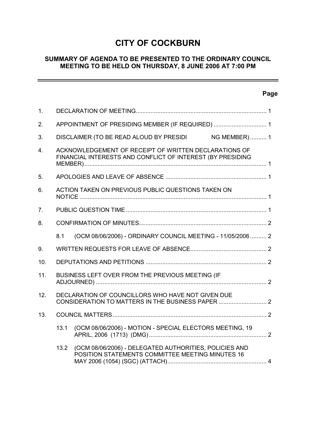## **CITY OF COCKBURN**

## **SUMMARY OF AGENDA TO BE PRESENTED TO THE ORDINARY COUNCIL MEETING TO BE HELD ON THURSDAY, 8 JUNE 2006 AT 7:00 PM**

## **Page**

 $\overline{\phantom{a}}$ 

| 1.             |                                                    |                                                                                                                     |  |
|----------------|----------------------------------------------------|---------------------------------------------------------------------------------------------------------------------|--|
| 2.             |                                                    | APPOINTMENT OF PRESIDING MEMBER (IF REQUIRED)  1                                                                    |  |
| 3.             |                                                    | DISCLAIMER (TO BE READ ALOUD BY PRESIDI NG MEMBER) 1                                                                |  |
| 4.             |                                                    | ACKNOWLEDGEMENT OF RECEIPT OF WRITTEN DECLARATIONS OF<br>FINANCIAL INTERESTS AND CONFLICT OF INTEREST (BY PRESIDING |  |
| 5.             |                                                    |                                                                                                                     |  |
| 6.             | ACTION TAKEN ON PREVIOUS PUBLIC QUESTIONS TAKEN ON |                                                                                                                     |  |
| 7 <sub>1</sub> |                                                    |                                                                                                                     |  |
| 8.             |                                                    |                                                                                                                     |  |
|                | 8.1                                                | (OCM 08/06/2006) - ORDINARY COUNCIL MEETING - 11/05/2006 2                                                          |  |
| 9.             |                                                    |                                                                                                                     |  |
| 10.            |                                                    |                                                                                                                     |  |
| 11.            |                                                    | BUSINESS LEFT OVER FROM THE PREVIOUS MEETING (IF                                                                    |  |
| 12.            |                                                    | DECLARATION OF COUNCILLORS WHO HAVE NOT GIVEN DUE                                                                   |  |
| 13.            |                                                    |                                                                                                                     |  |
|                | 13.1                                               | (OCM 08/06/2006) - MOTION - SPECIAL ELECTORS MEETING, 19                                                            |  |
|                | 13.2                                               | (OCM 08/06/2006) - DELEGATED AUTHORITIES, POLICIES AND<br>POSITION STATEMENTS COMMITTEE MEETING MINUTES 16          |  |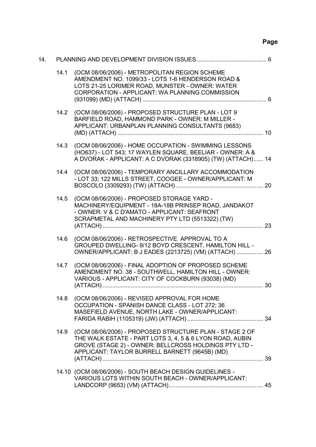# **Page**

| 14. |      |                                                                                                                                                                                                                                |  |
|-----|------|--------------------------------------------------------------------------------------------------------------------------------------------------------------------------------------------------------------------------------|--|
|     | 14.1 | (OCM 08/06/2006) - METROPOLITAN REGION SCHEME<br>AMENDMENT NO. 1099/33 - LOTS 1-6 HENDERSON ROAD &<br>LOTS 21-25 LORIMER ROAD, MUNSTER - OWNER: WATER<br>CORPORATION - APPLICANT: WA PLANNING COMMISSION                       |  |
|     | 14.2 | (OCM 08/06/2006) - PROPOSED STRUCTURE PLAN - LOT 9<br>BARFIELD ROAD, HAMMOND PARK - OWNER: M MILLER -<br>APPLICANT: URBANPLAN PLANNING CONSULTANTS (9683)                                                                      |  |
|     | 14.3 | (OCM 08/06/2006) - HOME OCCUPATION - SWIMMING LESSONS<br>(HO637) - LOT 543; 17 WAYLEN SQUARE, BEELIAR - OWNER: A &<br>A DVORAK - APPLICANT: A C DVORAK (3318905) (TW) (ATTACH) 14                                              |  |
|     | 14.4 | (OCM 08/06/2006) - TEMPORARY ANCILLARY ACCOMMODATION<br>- LOT 33; 122 MILLS STREET, COOGEE - OWNER/APPLICANT: M                                                                                                                |  |
|     | 14.5 | (OCM 08/06/2006) - PROPOSED STORAGE YARD -<br>MACHINERY/EQUIPMENT - 18A-18B PRINSEP ROAD, JANDAKOT<br>- OWNER: V & C D'AMATO - APPLICANT: SEAFRONT<br>SCRAPMETAL AND MACHINERY PTY LTD (5513322) (TW)                          |  |
|     | 14.6 | (OCM 08/06/2006) - RETROSPECTIVE APPROVAL TO A<br>GROUPED DWELLING- 9/12 BOYD CRESCENT, HAMILTON HILL -<br>OWNER/APPLICANT: B J EADES (2213725) (VM) (ATTACH)  26                                                              |  |
|     | 14.7 | (OCM 08/06/2006) - FINAL ADOPTION OF PROPOSED SCHEME<br>AMENDMENT NO. 38 - SOUTHWELL, HAMILTON HILL - OWNER:<br>VARIOUS - APPLICANT: CITY OF COCKBURN (93038) (MD)                                                             |  |
|     | 14.8 | (OCM 08/06/2006) - REVISED APPROVAL FOR HOME<br>OCCUPATION - SPANISH DANCE CLASS - LOT 272; 36<br>MASEFIELD AVENUE, NORTH LAKE - OWNER/APPLICANT:                                                                              |  |
|     | 14.9 | (OCM 08/06/2006) - PROPOSED STRUCTURE PLAN - STAGE 2 OF<br>THE WALK ESTATE - PART LOTS 3, 4, 5 & 6 LYON ROAD, AUBIN<br>GROVE (STAGE 2) - OWNER: BELLCROSS HOLDINGS PTY LTD -<br>APPLICANT: TAYLOR BURRELL BARNETT (9645B) (MD) |  |
|     |      | 14.10 (OCM 08/06/2006) - SOUTH BEACH DESIGN GUIDELINES -<br>VARIOUS LOTS WITHIN SOUTH BEACH - OWNER/APPLICANT:                                                                                                                 |  |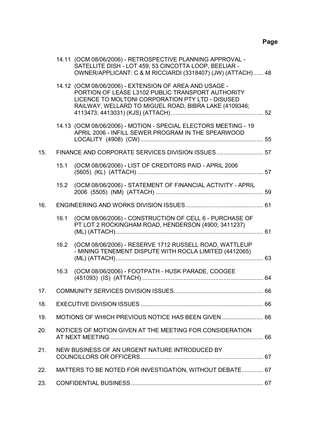|     |      | 14.11 (OCM 08/06/2006) - RETROSPECTIVE PLANNING APPROVAL -<br>SATELLITE DISH - LOT 459; 53 CINCOTTA LOOP, BEELIAR -<br>OWNER/APPLICANT: C & M RICCIARDI (3318407) (JW) (ATTACH) 48                                       |  |
|-----|------|--------------------------------------------------------------------------------------------------------------------------------------------------------------------------------------------------------------------------|--|
|     |      | 14.12 (OCM 08/06/2006) - EXTENSION OF AREA AND USAGE -<br>PORTION OF LEASE L3102 PUBLIC TRANSPORT AUTHORITY<br>LICENCE TO MOLTONI CORPORATION PTY LTD - DISUSED<br>RAILWAY, WELLARD TO MIGUEL ROAD, BIBRA LAKE (4109346; |  |
|     |      | 14.13 (OCM 08/06/2006) - MOTION - SPECIAL ELECTORS MEETING - 19<br>APRIL 2006 - INFILL SEWER PROGRAM IN THE SPEARWOOD                                                                                                    |  |
| 15. |      | FINANCE AND CORPORATE SERVICES DIVISION ISSUES  57                                                                                                                                                                       |  |
|     | 15.1 | (OCM 08/06/2006) - LIST OF CREDITORS PAID - APRIL 2006                                                                                                                                                                   |  |
|     |      | 15.2 (OCM 08/06/2006) - STATEMENT OF FINANCIAL ACTIVITY - APRIL                                                                                                                                                          |  |
| 16. |      |                                                                                                                                                                                                                          |  |
|     | 16.1 | (OCM 08/06/2006) - CONSTRUCTION OF CELL 6 - PURCHASE OF<br>PT LOT 2 ROCKINGHAM ROAD, HENDERSON (4900; 3411237)                                                                                                           |  |
|     | 16.2 | (OCM 08/06/2006) - RESERVE 1712 RUSSELL ROAD, WATTLEUP<br>- MINING TENEMENT DISPUTE WITH ROCLA LIMITED (4412065)                                                                                                         |  |
|     | 16.3 | (OCM 08/06/2006) - FOOTPATH - HUSK PARADE, COOGEE                                                                                                                                                                        |  |
| 17. |      |                                                                                                                                                                                                                          |  |
| 18. |      |                                                                                                                                                                                                                          |  |
| 19. |      | MOTIONS OF WHICH PREVIOUS NOTICE HAS BEEN GIVEN  66                                                                                                                                                                      |  |
| 20. |      | NOTICES OF MOTION GIVEN AT THE MEETING FOR CONSIDERATION                                                                                                                                                                 |  |
| 21. |      | NEW BUSINESS OF AN URGENT NATURE INTRODUCED BY                                                                                                                                                                           |  |
| 22. |      | MATTERS TO BE NOTED FOR INVESTIGATION, WITHOUT DEBATE 67                                                                                                                                                                 |  |
| 23. |      |                                                                                                                                                                                                                          |  |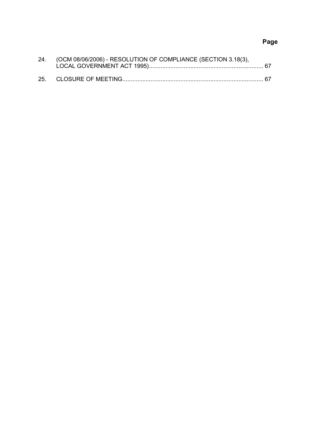# **Page**

| 24. (OCM 08/06/2006) - RESOLUTION OF COMPLIANCE (SECTION 3.18(3), |  |
|-------------------------------------------------------------------|--|
|                                                                   |  |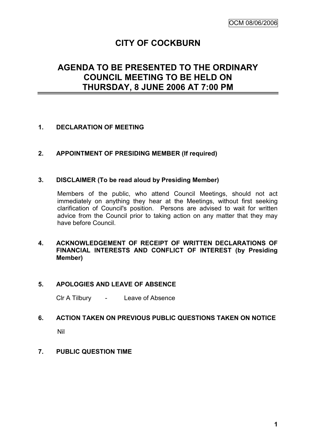# **CITY OF COCKBURN**

# **AGENDA TO BE PRESENTED TO THE ORDINARY COUNCIL MEETING TO BE HELD ON THURSDAY, 8 JUNE 2006 AT 7:00 PM**

## **1. DECLARATION OF MEETING**

## **2. APPOINTMENT OF PRESIDING MEMBER (If required)**

## **3. DISCLAIMER (To be read aloud by Presiding Member)**

Members of the public, who attend Council Meetings, should not act immediately on anything they hear at the Meetings, without first seeking clarification of Council's position. Persons are advised to wait for written advice from the Council prior to taking action on any matter that they may have before Council.

## **4. ACKNOWLEDGEMENT OF RECEIPT OF WRITTEN DECLARATIONS OF FINANCIAL INTERESTS AND CONFLICT OF INTEREST (by Presiding Member)**

## **5. APOLOGIES AND LEAVE OF ABSENCE**

Clr A Tilbury - Leave of Absence

## **6. ACTION TAKEN ON PREVIOUS PUBLIC QUESTIONS TAKEN ON NOTICE**

Nil

## **7. PUBLIC QUESTION TIME**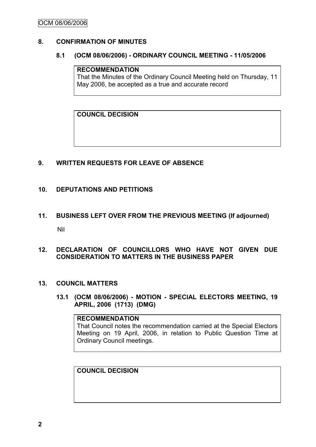## **8. CONFIRMATION OF MINUTES**

#### **8.1 (OCM 08/06/2006) - ORDINARY COUNCIL MEETING - 11/05/2006**

#### **RECOMMENDATION**

That the Minutes of the Ordinary Council Meeting held on Thursday, 11 May 2006, be accepted as a true and accurate record

**COUNCIL DECISION**

## **9. WRITTEN REQUESTS FOR LEAVE OF ABSENCE**

#### **10. DEPUTATIONS AND PETITIONS**

**11. BUSINESS LEFT OVER FROM THE PREVIOUS MEETING (If adjourned)** Nil

## **12. DECLARATION OF COUNCILLORS WHO HAVE NOT GIVEN DUE CONSIDERATION TO MATTERS IN THE BUSINESS PAPER**

#### **13. COUNCIL MATTERS**

**13.1 (OCM 08/06/2006) - MOTION - SPECIAL ELECTORS MEETING, 19 APRIL, 2006 (1713) (DMG)**

## **RECOMMENDATION** That Council notes the recommendation carried at the Special Electors Meeting on 19 April, 2006, in relation to Public Question Time at Ordinary Council meetings.

## **COUNCIL DECISION**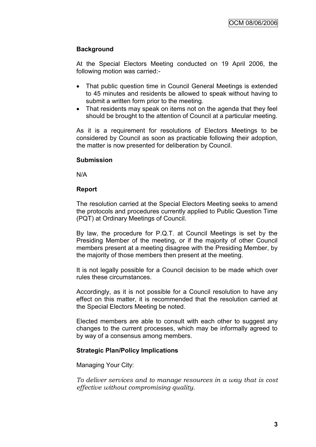## **Background**

At the Special Electors Meeting conducted on 19 April 2006, the following motion was carried:-

- That public question time in Council General Meetings is extended to 45 minutes and residents be allowed to speak without having to submit a written form prior to the meeting.
- That residents may speak on items not on the agenda that they feel should be brought to the attention of Council at a particular meeting.

As it is a requirement for resolutions of Electors Meetings to be considered by Council as soon as practicable following their adoption, the matter is now presented for deliberation by Council.

## **Submission**

N/A

## **Report**

The resolution carried at the Special Electors Meeting seeks to amend the protocols and procedures currently applied to Public Question Time (PQT) at Ordinary Meetings of Council.

By law, the procedure for P.Q.T. at Council Meetings is set by the Presiding Member of the meeting, or if the majority of other Council members present at a meeting disagree with the Presiding Member, by the majority of those members then present at the meeting.

It is not legally possible for a Council decision to be made which over rules these circumstances.

Accordingly, as it is not possible for a Council resolution to have any effect on this matter, it is recommended that the resolution carried at the Special Electors Meeting be noted.

Elected members are able to consult with each other to suggest any changes to the current processes, which may be informally agreed to by way of a consensus among members.

## **Strategic Plan/Policy Implications**

Managing Your City:

*To deliver services and to manage resources in a way that is cost effective without compromising quality.*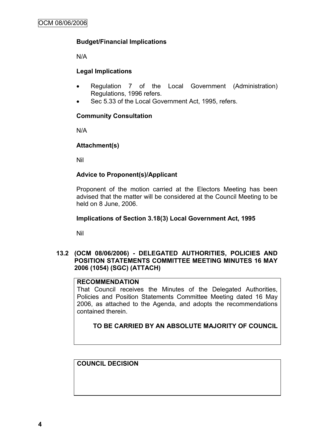## **Budget/Financial Implications**

N/A

## **Legal Implications**

- Regulation 7 of the Local Government (Administration) Regulations, 1996 refers.
- Sec 5.33 of the Local Government Act, 1995, refers.

## **Community Consultation**

N/A

## **Attachment(s)**

Nil

## **Advice to Proponent(s)/Applicant**

Proponent of the motion carried at the Electors Meeting has been advised that the matter will be considered at the Council Meeting to be held on 8 June, 2006.

## **Implications of Section 3.18(3) Local Government Act, 1995**

Nil

## **13.2 (OCM 08/06/2006) - DELEGATED AUTHORITIES, POLICIES AND POSITION STATEMENTS COMMITTEE MEETING MINUTES 16 MAY 2006 (1054) (SGC) (ATTACH)**

## **RECOMMENDATION**

That Council receives the Minutes of the Delegated Authorities, Policies and Position Statements Committee Meeting dated 16 May 2006, as attached to the Agenda, and adopts the recommendations contained therein.

**TO BE CARRIED BY AN ABSOLUTE MAJORITY OF COUNCIL**

**COUNCIL DECISION**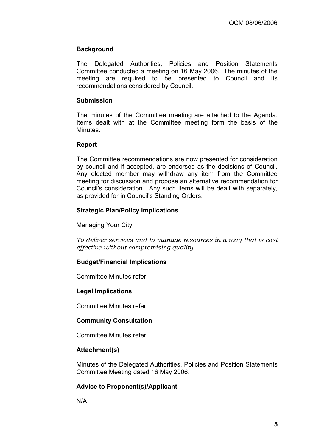## **Background**

The Delegated Authorities, Policies and Position Statements Committee conducted a meeting on 16 May 2006. The minutes of the meeting are required to be presented to Council and its recommendations considered by Council.

#### **Submission**

The minutes of the Committee meeting are attached to the Agenda. Items dealt with at the Committee meeting form the basis of the Minutes.

## **Report**

The Committee recommendations are now presented for consideration by council and if accepted, are endorsed as the decisions of Council. Any elected member may withdraw any item from the Committee meeting for discussion and propose an alternative recommendation for Council"s consideration. Any such items will be dealt with separately, as provided for in Council"s Standing Orders.

## **Strategic Plan/Policy Implications**

Managing Your City:

*To deliver services and to manage resources in a way that is cost effective without compromising quality.*

## **Budget/Financial Implications**

Committee Minutes refer.

## **Legal Implications**

Committee Minutes refer.

## **Community Consultation**

Committee Minutes refer.

## **Attachment(s)**

Minutes of the Delegated Authorities, Policies and Position Statements Committee Meeting dated 16 May 2006.

## **Advice to Proponent(s)/Applicant**

N/A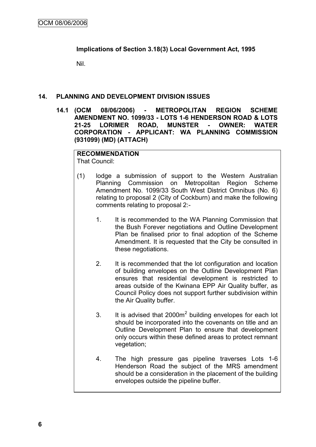## **Implications of Section 3.18(3) Local Government Act, 1995**

Nil.

## **14. PLANNING AND DEVELOPMENT DIVISION ISSUES**

**14.1 (OCM 08/06/2006) - METROPOLITAN REGION SCHEME AMENDMENT NO. 1099/33 - LOTS 1-6 HENDERSON ROAD & LOTS 21-25 LORIMER ROAD, MUNSTER - OWNER: WATER CORPORATION - APPLICANT: WA PLANNING COMMISSION (931099) (MD) (ATTACH)**

## **RECOMMENDATION**

That Council:

- (1) lodge a submission of support to the Western Australian Planning Commission on Metropolitan Region Scheme Amendment No. 1099/33 South West District Omnibus (No. 6) relating to proposal 2 (City of Cockburn) and make the following comments relating to proposal 2:-
	- 1. It is recommended to the WA Planning Commission that the Bush Forever negotiations and Outline Development Plan be finalised prior to final adoption of the Scheme Amendment. It is requested that the City be consulted in these negotiations.
	- 2. It is recommended that the lot configuration and location of building envelopes on the Outline Development Plan ensures that residential development is restricted to areas outside of the Kwinana EPP Air Quality buffer, as Council Policy does not support further subdivision within the Air Quality buffer.
	- 3. It is advised that  $2000m^2$  building envelopes for each lot should be incorporated into the covenants on title and an Outline Development Plan to ensure that development only occurs within these defined areas to protect remnant vegetation;
	- 4. The high pressure gas pipeline traverses Lots 1-6 Henderson Road the subject of the MRS amendment should be a consideration in the placement of the building envelopes outside the pipeline buffer.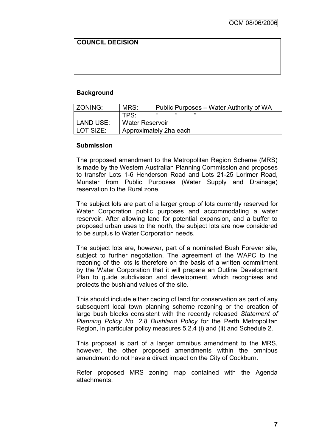## **COUNCIL DECISION**

## **Background**

| l ZONING: | MRS:                   | Public Purposes – Water Authority of WA |
|-----------|------------------------|-----------------------------------------|
|           | TPS:                   | "                                       |
| LAND USE: | <b>Water Reservoir</b> |                                         |
| LOT SIZE: |                        | Approximately 2ha each                  |

#### **Submission**

The proposed amendment to the Metropolitan Region Scheme (MRS) is made by the Western Australian Planning Commission and proposes to transfer Lots 1-6 Henderson Road and Lots 21-25 Lorimer Road, Munster from Public Purposes (Water Supply and Drainage) reservation to the Rural zone.

The subject lots are part of a larger group of lots currently reserved for Water Corporation public purposes and accommodating a water reservoir. After allowing land for potential expansion, and a buffer to proposed urban uses to the north, the subject lots are now considered to be surplus to Water Corporation needs.

The subject lots are, however, part of a nominated Bush Forever site, subject to further negotiation. The agreement of the WAPC to the rezoning of the lots is therefore on the basis of a written commitment by the Water Corporation that it will prepare an Outline Development Plan to guide subdivision and development, which recognises and protects the bushland values of the site.

This should include either ceding of land for conservation as part of any subsequent local town planning scheme rezoning or the creation of large bush blocks consistent with the recently released *Statement of Planning Policy No. 2.8 Bushland Policy* for the Perth Metropolitan Region, in particular policy measures 5.2.4 (i) and (ii) and Schedule 2.

This proposal is part of a larger omnibus amendment to the MRS, however, the other proposed amendments within the omnibus amendment do not have a direct impact on the City of Cockburn.

Refer proposed MRS zoning map contained with the Agenda attachments.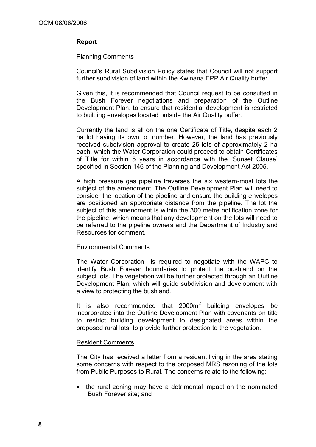## **Report**

#### Planning Comments

Council"s Rural Subdivision Policy states that Council will not support further subdivision of land within the Kwinana EPP Air Quality buffer.

Given this, it is recommended that Council request to be consulted in the Bush Forever negotiations and preparation of the Outline Development Plan, to ensure that residential development is restricted to building envelopes located outside the Air Quality buffer.

Currently the land is all on the one Certificate of Title, despite each 2 ha lot having its own lot number. However, the land has previously received subdivision approval to create 25 lots of approximately 2 ha each, which the Water Corporation could proceed to obtain Certificates of Title for within 5 years in accordance with the "Sunset Clause" specified in Section 146 of the Planning and Development Act 2005.

A high pressure gas pipeline traverses the six western-most lots the subject of the amendment. The Outline Development Plan will need to consider the location of the pipeline and ensure the building envelopes are positioned an appropriate distance from the pipeline. The lot the subject of this amendment is within the 300 metre notification zone for the pipeline, which means that any development on the lots will need to be referred to the pipeline owners and the Department of Industry and Resources for comment.

#### Environmental Comments

The Water Corporation is required to negotiate with the WAPC to identify Bush Forever boundaries to protect the bushland on the subject lots. The vegetation will be further protected through an Outline Development Plan, which will guide subdivision and development with a view to protecting the bushland.

It is also recommended that  $2000m^2$  building envelopes be incorporated into the Outline Development Plan with covenants on title to restrict building development to designated areas within the proposed rural lots, to provide further protection to the vegetation.

## Resident Comments

The City has received a letter from a resident living in the area stating some concerns with respect to the proposed MRS rezoning of the lots from Public Purposes to Rural. The concerns relate to the following:

• the rural zoning may have a detrimental impact on the nominated Bush Forever site; and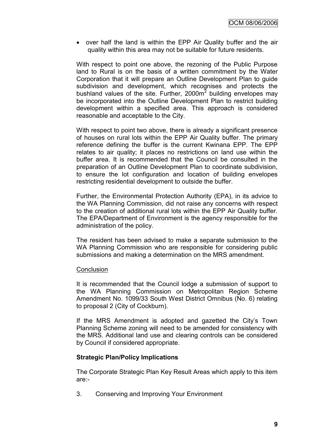• over half the land is within the EPP Air Quality buffer and the air quality within this area may not be suitable for future residents.

With respect to point one above, the rezoning of the Public Purpose land to Rural is on the basis of a written commitment by the Water Corporation that it will prepare an Outline Development Plan to guide subdivision and development, which recognises and protects the bushland values of the site. Further, 2000 $m^2$  building envelopes may be incorporated into the Outline Development Plan to restrict building development within a specified area. This approach is considered reasonable and acceptable to the City.

With respect to point two above, there is already a significant presence of houses on rural lots within the EPP Air Quality buffer. The primary reference defining the buffer is the current Kwinana EPP. The EPP relates to air quality; it places no restrictions on land use within the buffer area. It is recommended that the Council be consulted in the preparation of an Outline Development Plan to coordinate subdivision, to ensure the lot configuration and location of building envelopes restricting residential development to outside the buffer.

Further, the Environmental Protection Authority (EPA), in its advice to the WA Planning Commission, did not raise any concerns with respect to the creation of additional rural lots within the EPP Air Quality buffer. The EPA/Department of Environment is the agency responsible for the administration of the policy.

The resident has been advised to make a separate submission to the WA Planning Commission who are responsible for considering public submissions and making a determination on the MRS amendment.

## **Conclusion**

It is recommended that the Council lodge a submission of support to the WA Planning Commission on Metropolitan Region Scheme Amendment No. 1099/33 South West District Omnibus (No. 6) relating to proposal 2 (City of Cockburn).

If the MRS Amendment is adopted and gazetted the City's Town Planning Scheme zoning will need to be amended for consistency with the MRS. Additional land use and clearing controls can be considered by Council if considered appropriate.

## **Strategic Plan/Policy Implications**

The Corporate Strategic Plan Key Result Areas which apply to this item are:-

3. Conserving and Improving Your Environment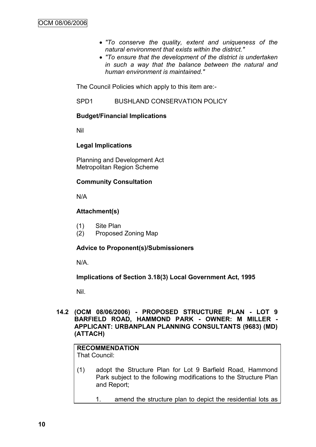- *"To conserve the quality, extent and uniqueness of the natural environment that exists within the district."*
- *"To ensure that the development of the district is undertaken in such a way that the balance between the natural and human environment is maintained."*

The Council Policies which apply to this item are:-

SPD1 BUSHLAND CONSERVATION POLICY

## **Budget/Financial Implications**

Nil

## **Legal Implications**

Planning and Development Act Metropolitan Region Scheme

## **Community Consultation**

N/A

## **Attachment(s)**

- (1) Site Plan
- (2) Proposed Zoning Map

## **Advice to Proponent(s)/Submissioners**

N/A.

## **Implications of Section 3.18(3) Local Government Act, 1995**

Nil.

## **14.2 (OCM 08/06/2006) - PROPOSED STRUCTURE PLAN - LOT 9 BARFIELD ROAD, HAMMOND PARK - OWNER: M MILLER - APPLICANT: URBANPLAN PLANNING CONSULTANTS (9683) (MD) (ATTACH)**

# **RECOMMENDATION**

That Council:

- (1) adopt the Structure Plan for Lot 9 Barfield Road, Hammond Park subject to the following modifications to the Structure Plan and Report;
	- 1. amend the structure plan to depict the residential lots as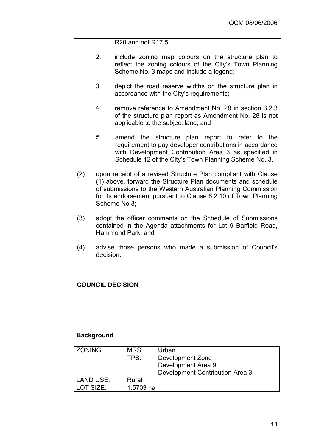R20 and not R17.5;

- 2. include zoning map colours on the structure plan to reflect the zoning colours of the City's Town Planning Scheme No. 3 maps and include a legend;
- 3. depict the road reserve widths on the structure plan in accordance with the City's requirements;
- 4. remove reference to Amendment No. 28 in section 3.2.3 of the structure plan report as Amendment No. 28 is not applicable to the subject land; and
- 5. amend the structure plan report to refer to the requirement to pay developer contributions in accordance with Development Contribution Area 3 as specified in Schedule 12 of the City"s Town Planning Scheme No. 3.
- (2) upon receipt of a revised Structure Plan compliant with Clause (1) above, forward the Structure Plan documents and schedule of submissions to the Western Australian Planning Commission for its endorsement pursuant to Clause 6.2.10 of Town Planning Scheme No 3;
- (3) adopt the officer comments on the Schedule of Submissions contained in the Agenda attachments for Lot 9 Barfield Road, Hammond Park; and
- (4) advise those persons who made a submission of Council"s decision.

## **COUNCIL DECISION**

## **Background**

| ZONING:          | MRS:      | Urban                           |
|------------------|-----------|---------------------------------|
|                  | TPS:      | Development Zone                |
|                  |           | Development Area 9              |
|                  |           | Development Contribution Area 3 |
| <b>LAND USE:</b> | Rural     |                                 |
| LOT SIZE:        | 1.5703 ha |                                 |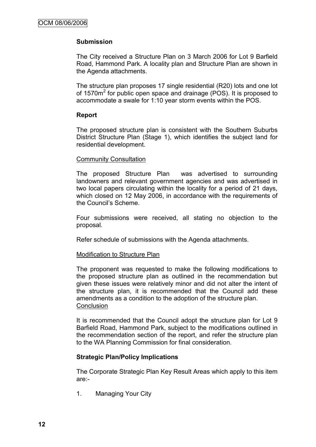## **Submission**

The City received a Structure Plan on 3 March 2006 for Lot 9 Barfield Road, Hammond Park. A locality plan and Structure Plan are shown in the Agenda attachments.

The structure plan proposes 17 single residential (R20) lots and one lot of 1570m<sup>2</sup> for public open space and drainage (POS). It is proposed to accommodate a swale for 1:10 year storm events within the POS.

## **Report**

The proposed structure plan is consistent with the Southern Suburbs District Structure Plan (Stage 1), which identifies the subject land for residential development.

#### Community Consultation

The proposed Structure Plan was advertised to surrounding landowners and relevant government agencies and was advertised in two local papers circulating within the locality for a period of 21 days, which closed on 12 May 2006, in accordance with the requirements of the Council"s Scheme.

Four submissions were received, all stating no objection to the proposal.

Refer schedule of submissions with the Agenda attachments.

## Modification to Structure Plan

The proponent was requested to make the following modifications to the proposed structure plan as outlined in the recommendation but given these issues were relatively minor and did not alter the intent of the structure plan, it is recommended that the Council add these amendments as a condition to the adoption of the structure plan. **Conclusion** 

It is recommended that the Council adopt the structure plan for Lot 9 Barfield Road, Hammond Park, subject to the modifications outlined in the recommendation section of the report, and refer the structure plan to the WA Planning Commission for final consideration.

## **Strategic Plan/Policy Implications**

The Corporate Strategic Plan Key Result Areas which apply to this item are:-

1. Managing Your City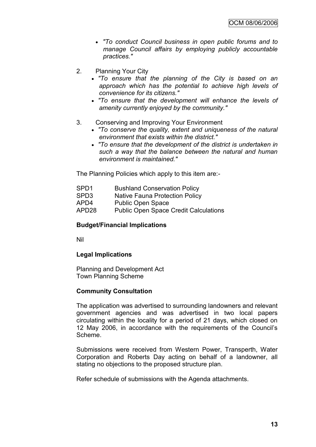- *"To conduct Council business in open public forums and to manage Council affairs by employing publicly accountable practices."*
- 2. Planning Your City
	- *"To ensure that the planning of the City is based on an approach which has the potential to achieve high levels of convenience for its citizens."*
	- *"To ensure that the development will enhance the levels of amenity currently enjoyed by the community."*
- 3. Conserving and Improving Your Environment
	- *"To conserve the quality, extent and uniqueness of the natural environment that exists within the district."*
	- *"To ensure that the development of the district is undertaken in such a way that the balance between the natural and human environment is maintained."*

The Planning Policies which apply to this item are:-

- SPD1 Bushland Conservation Policy
- SPD3 Native Fauna Protection Policy
- APD4 Public Open Space
- APD28 Public Open Space Credit Calculations

#### **Budget/Financial Implications**

Nil

## **Legal Implications**

Planning and Development Act Town Planning Scheme

## **Community Consultation**

The application was advertised to surrounding landowners and relevant government agencies and was advertised in two local papers circulating within the locality for a period of 21 days, which closed on 12 May 2006, in accordance with the requirements of the Council"s Scheme.

Submissions were received from Western Power, Transperth, Water Corporation and Roberts Day acting on behalf of a landowner, all stating no objections to the proposed structure plan.

Refer schedule of submissions with the Agenda attachments.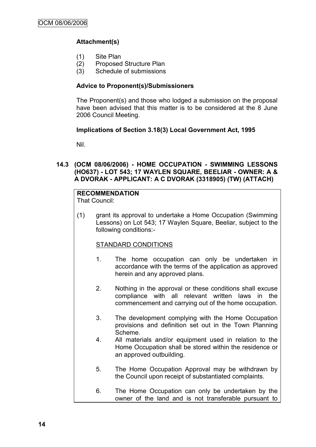## **Attachment(s)**

- (1) Site Plan
- (2) Proposed Structure Plan
- (3) Schedule of submissions

#### **Advice to Proponent(s)/Submissioners**

The Proponent(s) and those who lodged a submission on the proposal have been advised that this matter is to be considered at the 8 June 2006 Council Meeting.

#### **Implications of Section 3.18(3) Local Government Act, 1995**

Nil.

**14.3 (OCM 08/06/2006) - HOME OCCUPATION - SWIMMING LESSONS (HO637) - LOT 543; 17 WAYLEN SQUARE, BEELIAR - OWNER: A & A DVORAK - APPLICANT: A C DVORAK (3318905) (TW) (ATTACH)**

## **RECOMMENDATION**

That Council:

(1) grant its approval to undertake a Home Occupation (Swimming Lessons) on Lot 543; 17 Waylen Square, Beeliar, subject to the following conditions:-

## STANDARD CONDITIONS

- 1. The home occupation can only be undertaken in accordance with the terms of the application as approved herein and any approved plans.
- 2. Nothing in the approval or these conditions shall excuse compliance with all relevant written laws in the commencement and carrying out of the home occupation.
- 3. The development complying with the Home Occupation provisions and definition set out in the Town Planning Scheme.
- 4. All materials and/or equipment used in relation to the Home Occupation shall be stored within the residence or an approved outbuilding.
- 5. The Home Occupation Approval may be withdrawn by the Council upon receipt of substantiated complaints.
- 6. The Home Occupation can only be undertaken by the owner of the land and is not transferable pursuant to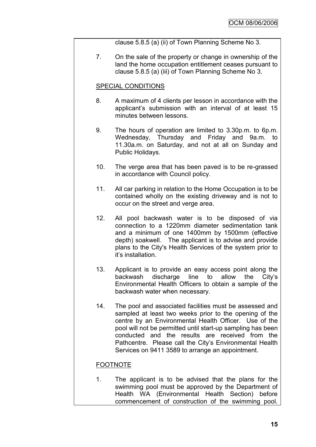clause 5.8.5 (a) (ii) of Town Planning Scheme No 3.

7. On the sale of the property or change in ownership of the land the home occupation entitlement ceases pursuant to clause 5.8.5 (a) (iii) of Town Planning Scheme No 3.

## SPECIAL CONDITIONS

- 8. A maximum of 4 clients per lesson in accordance with the applicant"s submission with an interval of at least 15 minutes between lessons.
- 9. The hours of operation are limited to 3.30p.m. to 6p.m. Wednesday, Thursday and Friday and 9a.m. to 11.30a.m. on Saturday, and not at all on Sunday and Public Holidays.
- 10. The verge area that has been paved is to be re-grassed in accordance with Council policy.
- 11. All car parking in relation to the Home Occupation is to be contained wholly on the existing driveway and is not to occur on the street and verge area.
- 12. All pool backwash water is to be disposed of via connection to a 1220mm diameter sedimentation tank and a minimum of one 1400mm by 1500mm (effective depth) soakwell. The applicant is to advise and provide plans to the City's Health Services of the system prior to it"s installation.
- 13. Applicant is to provide an easy access point along the backwash discharge line to allow the City's Environmental Health Officers to obtain a sample of the backwash water when necessary.
- 14. The pool and associated facilities must be assessed and sampled at least two weeks prior to the opening of the centre by an Environmental Health Officer. Use of the pool will not be permitted until start-up sampling has been conducted and the results are received from the Pathcentre. Please call the City's Environmental Health Services on 9411 3589 to arrange an appointment.

## FOOTNOTE

1. The applicant is to be advised that the plans for the swimming pool must be approved by the Department of Health WA (Environmental Health Section) before commencement of construction of the swimming pool.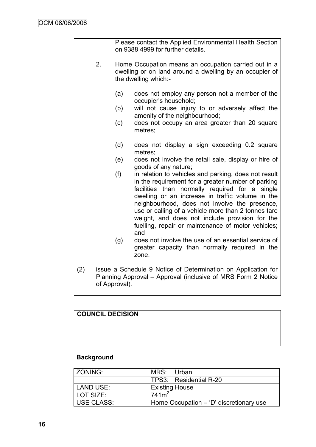|     |    |               | Please contact the Applied Environmental Health Section<br>on 9388 4999 for further details.                                                                                                                                                                                                                                                                                                                                            |
|-----|----|---------------|-----------------------------------------------------------------------------------------------------------------------------------------------------------------------------------------------------------------------------------------------------------------------------------------------------------------------------------------------------------------------------------------------------------------------------------------|
|     | 2. |               | Home Occupation means an occupation carried out in a<br>dwelling or on land around a dwelling by an occupier of<br>the dwelling which:-                                                                                                                                                                                                                                                                                                 |
|     |    | (a)           | does not employ any person not a member of the<br>occupier's household;                                                                                                                                                                                                                                                                                                                                                                 |
|     |    | (b)           | will not cause injury to or adversely affect the<br>amenity of the neighbourhood;                                                                                                                                                                                                                                                                                                                                                       |
|     |    | (c)           | does not occupy an area greater than 20 square<br>metres;                                                                                                                                                                                                                                                                                                                                                                               |
|     |    | (d)           | does not display a sign exceeding 0.2 square<br>metres;                                                                                                                                                                                                                                                                                                                                                                                 |
|     |    | (e)           | does not involve the retail sale, display or hire of<br>goods of any nature;                                                                                                                                                                                                                                                                                                                                                            |
|     |    | (f)           | in relation to vehicles and parking, does not result<br>in the requirement for a greater number of parking<br>facilities than normally required for a single<br>dwelling or an increase in traffic volume in the<br>neighbourhood, does not involve the presence,<br>use or calling of a vehicle more than 2 tonnes tare<br>weight, and does not include provision for the<br>fuelling, repair or maintenance of motor vehicles;<br>and |
|     |    | (g)           | does not involve the use of an essential service of<br>greater capacity than normally required in the<br>zone.                                                                                                                                                                                                                                                                                                                          |
| (2) |    | of Approval). | issue a Schedule 9 Notice of Determination on Application for<br>Planning Approval – Approval (inclusive of MRS Form 2 Notice                                                                                                                                                                                                                                                                                                           |

| <b>COUNCIL DECISION</b> |  |  |
|-------------------------|--|--|
|                         |  |  |
|                         |  |  |
|                         |  |  |

## **Background**

| ZONING:           | MRS:                                      | ⊟ Urban                  |
|-------------------|-------------------------------------------|--------------------------|
|                   |                                           | TPS3:   Residential R-20 |
| LAND USE:         | <b>Existing House</b>                     |                          |
| LOT SIZE:         | 741m <sup>2</sup>                         |                          |
| <b>USE CLASS:</b> | Home Occupation $-$ 'D' discretionary use |                          |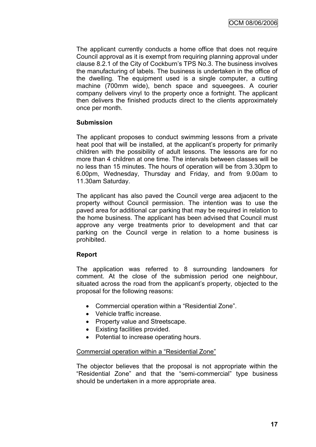The applicant currently conducts a home office that does not require Council approval as it is exempt from requiring planning approval under clause 8.2.1 of the City of Cockburn"s TPS No.3. The business involves the manufacturing of labels. The business is undertaken in the office of the dwelling. The equipment used is a single computer, a cutting machine (700mm wide), bench space and squeegees. A courier company delivers vinyl to the property once a fortnight. The applicant then delivers the finished products direct to the clients approximately once per month.

## **Submission**

The applicant proposes to conduct swimming lessons from a private heat pool that will be installed, at the applicant's property for primarily children with the possibility of adult lessons. The lessons are for no more than 4 children at one time. The intervals between classes will be no less than 15 minutes. The hours of operation will be from 3.30pm to 6.00pm, Wednesday, Thursday and Friday, and from 9.00am to 11.30am Saturday.

The applicant has also paved the Council verge area adjacent to the property without Council permission. The intention was to use the paved area for additional car parking that may be required in relation to the home business. The applicant has been advised that Council must approve any verge treatments prior to development and that car parking on the Council verge in relation to a home business is prohibited.

## **Report**

The application was referred to 8 surrounding landowners for comment. At the close of the submission period one neighbour, situated across the road from the applicant's property, objected to the proposal for the following reasons:

- Commercial operation within a "Residential Zone".
- Vehicle traffic increase.
- Property value and Streetscape.
- Existing facilities provided.
- Potential to increase operating hours.

## Commercial operation within a "Residential Zone"

The objector believes that the proposal is not appropriate within the "Residential Zone" and that the "semi-commercial" type business should be undertaken in a more appropriate area.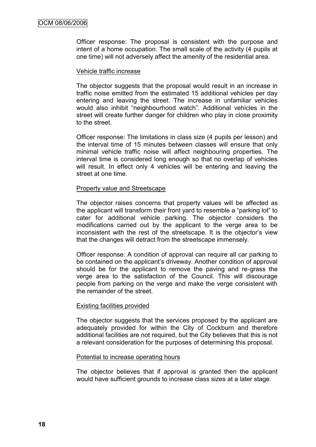Officer response: The proposal is consistent with the purpose and intent of a home occupation. The small scale of the activity (4 pupils at one time) will not adversely affect the amenity of the residential area.

#### Vehicle traffic increase

The objector suggests that the proposal would result in an increase in traffic noise emitted from the estimated 15 additional vehicles per day entering and leaving the street. The increase in unfamiliar vehicles would also inhibit "neighbourhood watch". Additional vehicles in the street will create further danger for children who play in close proximity to the street.

Officer response: The limitations in class size (4 pupils per lesson) and the interval time of 15 minutes between classes will ensure that only minimal vehicle traffic noise will affect neighbouring properties. The interval time is considered long enough so that no overlap of vehicles will result. In effect only 4 vehicles will be entering and leaving the street at one time.

## Property value and Streetscape

The objector raises concerns that property values will be affected as the applicant will transform their front yard to resemble a "parking lot" to cater for additional vehicle parking. The objector considers the modifications carried out by the applicant to the verge area to be inconsistent with the rest of the streetscape. It is the objector"s view that the changes will detract from the streetscape immensely.

Officer response: A condition of approval can require all car parking to be contained on the applicant"s driveway. Another condition of approval should be for the applicant to remove the paving and re-grass the verge area to the satisfaction of the Council. This will discourage people from parking on the verge and make the verge consistent with the remainder of the street.

## Existing facilities provided

The objector suggests that the services proposed by the applicant are adequately provided for within the City of Cockburn and therefore additional facilities are not required, but the City believes that this is not a relevant consideration for the purposes of determining this proposal.

#### Potential to increase operating hours

The objector believes that if approval is granted then the applicant would have sufficient grounds to increase class sizes at a later stage.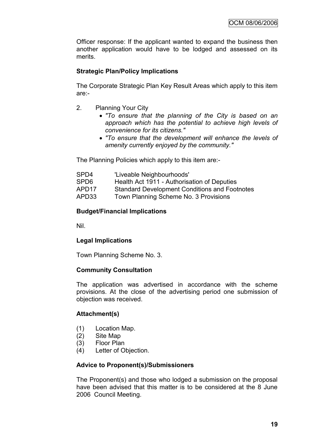Officer response: If the applicant wanted to expand the business then another application would have to be lodged and assessed on its merits.

## **Strategic Plan/Policy Implications**

The Corporate Strategic Plan Key Result Areas which apply to this item are:-

- 2. Planning Your City
	- *"To ensure that the planning of the City is based on an approach which has the potential to achieve high levels of convenience for its citizens."*
	- *"To ensure that the development will enhance the levels of amenity currently enjoyed by the community."*

The Planning Policies which apply to this item are:-

| SPD4  | 'Liveable Neighbourhoods'                            |
|-------|------------------------------------------------------|
| SPD6  | Health Act 1911 - Authorisation of Deputies          |
| APD17 | <b>Standard Development Conditions and Footnotes</b> |
| APD33 | Town Planning Scheme No. 3 Provisions                |

## **Budget/Financial Implications**

Nil.

## **Legal Implications**

Town Planning Scheme No. 3.

## **Community Consultation**

The application was advertised in accordance with the scheme provisions. At the close of the advertising period one submission of objection was received.

## **Attachment(s)**

- (1) Location Map.
- (2) Site Map
- (3) Floor Plan
- (4) Letter of Objection.

## **Advice to Proponent(s)/Submissioners**

The Proponent(s) and those who lodged a submission on the proposal have been advised that this matter is to be considered at the 8 June 2006 Council Meeting.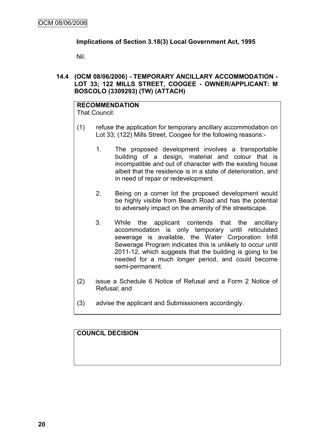## **Implications of Section 3.18(3) Local Government Act, 1995**

Nil.

**14.4 (OCM 08/06/2006) - TEMPORARY ANCILLARY ACCOMMODATION - LOT 33; 122 MILLS STREET, COOGEE - OWNER/APPLICANT: M BOSCOLO (3309293) (TW) (ATTACH)**

# **RECOMMENDATION**

That Council:

- (1) refuse the application for temporary ancillary accommodation on Lot 33; (122) Mills Street, Coogee for the following reasons:-
	- 1. The proposed development involves a transportable building of a design, material and colour that is incompatible and out of character with the existing house albeit that the residence is in a state of deterioration, and in need of repair or redevelopment.
	- 2. Being on a corner lot the proposed development would be highly visible from Beach Road and has the potential to adversely impact on the amenity of the streetscape.
	- 3. While the applicant contends that the ancillary accommodation is only temporary until reticulated sewerage is available, the Water Corporation Infill Sewerage Program indicates this is unlikely to occur until 2011-12, which suggests that the building is going to be needed for a much longer period, and could become semi-permanent.
- (2) issue a Schedule 6 Notice of Refusal and a Form 2 Notice of Refusal; and
- (3) advise the applicant and Submissioners accordingly.

## **COUNCIL DECISION**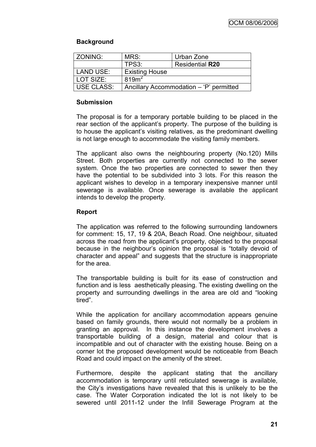## **Background**

| <b>ZONING:</b> | MRS:                  | Urban Zone                              |
|----------------|-----------------------|-----------------------------------------|
|                | TPS3:                 | <b>Residential R20</b>                  |
| LAND USE:      | <b>Existing House</b> |                                         |
| LOT SIZE:      | 819 <sup>2</sup>      |                                         |
| USE CLASS:     |                       | Ancillary Accommodation - 'P' permitted |

#### **Submission**

The proposal is for a temporary portable building to be placed in the rear section of the applicant's property. The purpose of the building is to house the applicant"s visiting relatives, as the predominant dwelling is not large enough to accommodate the visiting family members.

The applicant also owns the neighbouring property (No.120) Mills Street. Both properties are currently not connected to the sewer system. Once the two properties are connected to sewer then they have the potential to be subdivided into 3 lots. For this reason the applicant wishes to develop in a temporary inexpensive manner until sewerage is available. Once sewerage is available the applicant intends to develop the property.

## **Report**

The application was referred to the following surrounding landowners for comment: 15, 17, 19 & 20A, Beach Road. One neighbour, situated across the road from the applicant"s property, objected to the proposal because in the neighbour"s opinion the proposal is "totally devoid of character and appeal" and suggests that the structure is inappropriate for the area.

The transportable building is built for its ease of construction and function and is less aesthetically pleasing. The existing dwelling on the property and surrounding dwellings in the area are old and "looking tired".

While the application for ancillary accommodation appears genuine based on family grounds, there would not normally be a problem in granting an approval. In this instance the development involves a transportable building of a design, material and colour that is incompatible and out of character with the existing house. Being on a corner lot the proposed development would be noticeable from Beach Road and could impact on the amenity of the street.

Furthermore, despite the applicant stating that the ancillary accommodation is temporary until reticulated sewerage is available, the City"s investigations have revealed that this is unlikely to be the case. The Water Corporation indicated the lot is not likely to be sewered until 2011-12 under the Infill Sewerage Program at the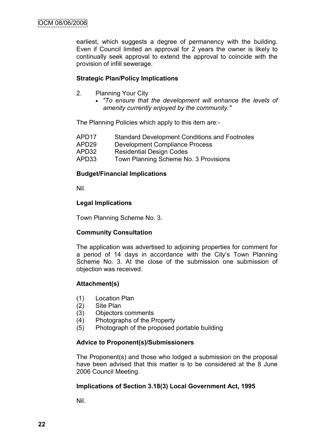earliest, which suggests a degree of permanency with the building. Even if Council limited an approval for 2 years the owner is likely to continually seek approval to extend the approval to coincide with the provision of infill sewerage.

## **Strategic Plan/Policy Implications**

- 2. Planning Your City
	- *"To ensure that the development will enhance the levels of amenity currently enjoyed by the community."*

The Planning Policies which apply to this item are:-

| APD <sub>17</sub> | <b>Standard Development Conditions and Footnotes</b> |
|-------------------|------------------------------------------------------|
| APD <sub>29</sub> | Development Compliance Process                       |

- APD32 Residential Design Codes
- APD33 Town Planning Scheme No. 3 Provisions

## **Budget/Financial Implications**

Nil.

## **Legal Implications**

Town Planning Scheme No. 3.

## **Community Consultation**

The application was advertised to adjoining properties for comment for a period of 14 days in accordance with the City's Town Planning Scheme No. 3. At the close of the submission one submission of objection was received.

## **Attachment(s)**

- (1) Location Plan
- (2) Site Plan
- (3) Objectors comments
- (4) Photographs of the Property
- (5) Photograph of the proposed portable building

## **Advice to Proponent(s)/Submissioners**

The Proponent(s) and those who lodged a submission on the proposal have been advised that this matter is to be considered at the 8 June 2006 Council Meeting.

## **Implications of Section 3.18(3) Local Government Act, 1995**

Nil.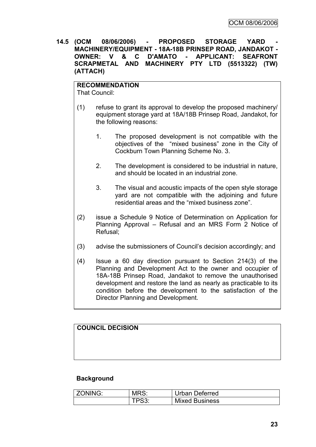**14.5 (OCM 08/06/2006) - PROPOSED STORAGE YARD - MACHINERY/EQUIPMENT - 18A-18B PRINSEP ROAD, JANDAKOT - OWNER: V & C D'AMATO - APPLICANT: SEAFRONT SCRAPMETAL AND MACHINERY PTY LTD (5513322) (TW) (ATTACH)**

**RECOMMENDATION** That Council:

- (1) refuse to grant its approval to develop the proposed machinery/ equipment storage yard at 18A/18B Prinsep Road, Jandakot, for the following reasons:
	- 1. The proposed development is not compatible with the objectives of the "mixed business" zone in the City of Cockburn Town Planning Scheme No. 3.
	- 2. The development is considered to be industrial in nature, and should be located in an industrial zone.
	- 3. The visual and acoustic impacts of the open style storage yard are not compatible with the adjoining and future residential areas and the "mixed business zone".
- (2) issue a Schedule 9 Notice of Determination on Application for Planning Approval – Refusal and an MRS Form 2 Notice of Refusal;
- (3) advise the submissioners of Council"s decision accordingly; and
- (4) Issue a 60 day direction pursuant to Section 214(3) of the Planning and Development Act to the owner and occupier of 18A-18B Prinsep Road, Jandakot to remove the unauthorised development and restore the land as nearly as practicable to its condition before the development to the satisfaction of the Director Planning and Development.

## **COUNCIL DECISION**

## **Background**

| ZONING: | MRS:  | Urban Deferred        |
|---------|-------|-----------------------|
|         | TPS3: | <b>Mixed Business</b> |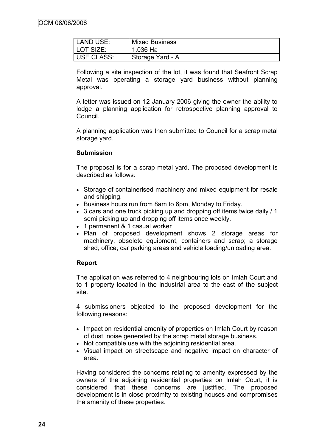| LAND USE:  | <b>Mixed Business</b> |  |
|------------|-----------------------|--|
| LOT SIZE:  | 1.036 Ha              |  |
| USE CLASS: | Storage Yard - A      |  |

Following a site inspection of the lot, it was found that Seafront Scrap Metal was operating a storage yard business without planning approval.

A letter was issued on 12 January 2006 giving the owner the ability to lodge a planning application for retrospective planning approval to Council.

A planning application was then submitted to Council for a scrap metal storage yard.

## **Submission**

The proposal is for a scrap metal yard. The proposed development is described as follows:

- Storage of containerised machinery and mixed equipment for resale and shipping.
- Business hours run from 8am to 6pm, Monday to Friday.
- 3 cars and one truck picking up and dropping off items twice daily / 1 semi picking up and dropping off items once weekly.
- 1 permanent & 1 casual worker
- Plan of proposed development shows 2 storage areas for machinery, obsolete equipment, containers and scrap; a storage shed; office; car parking areas and vehicle loading/unloading area.

## **Report**

The application was referred to 4 neighbouring lots on Imlah Court and to 1 property located in the industrial area to the east of the subject site.

4 submissioners objected to the proposed development for the following reasons:

- Impact on residential amenity of properties on Imlah Court by reason of dust, noise generated by the scrap metal storage business.
- Not compatible use with the adjoining residential area.
- Visual impact on streetscape and negative impact on character of area.

Having considered the concerns relating to amenity expressed by the owners of the adjoining residential properties on Imlah Court, it is considered that these concerns are justified. The proposed development is in close proximity to existing houses and compromises the amenity of these properties.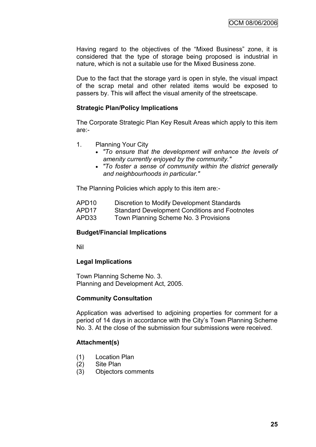Having regard to the objectives of the "Mixed Business" zone, it is considered that the type of storage being proposed is industrial in nature, which is not a suitable use for the Mixed Business zone.

Due to the fact that the storage yard is open in style, the visual impact of the scrap metal and other related items would be exposed to passers by. This will affect the visual amenity of the streetscape.

## **Strategic Plan/Policy Implications**

The Corporate Strategic Plan Key Result Areas which apply to this item are:-

- 1. Planning Your City
	- *"To ensure that the development will enhance the levels of amenity currently enjoyed by the community."*
	- *"To foster a sense of community within the district generally and neighbourhoods in particular."*

The Planning Policies which apply to this item are:-

- APD10 Discretion to Modify Development Standards
- APD17 Standard Development Conditions and Footnotes
- APD33 Town Planning Scheme No. 3 Provisions

#### **Budget/Financial Implications**

Nil

#### **Legal Implications**

Town Planning Scheme No. 3. Planning and Development Act, 2005.

#### **Community Consultation**

Application was advertised to adjoining properties for comment for a period of 14 days in accordance with the City"s Town Planning Scheme No. 3. At the close of the submission four submissions were received.

## **Attachment(s)**

- (1) Location Plan
- (2) Site Plan
- (3) Objectors comments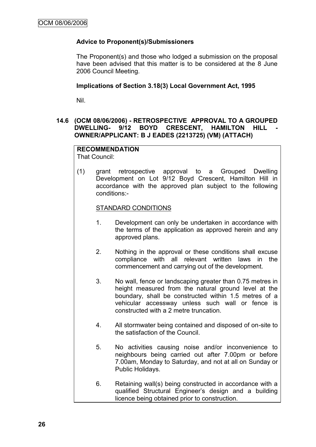## **Advice to Proponent(s)/Submissioners**

The Proponent(s) and those who lodged a submission on the proposal have been advised that this matter is to be considered at the 8 June 2006 Council Meeting.

#### **Implications of Section 3.18(3) Local Government Act, 1995**

Nil.

## **14.6 (OCM 08/06/2006) - RETROSPECTIVE APPROVAL TO A GROUPED DWELLING- 9/12 BOYD CRESCENT, HAMILTON HILL OWNER/APPLICANT: B J EADES (2213725) (VM) (ATTACH)**

#### **RECOMMENDATION** That Council:

(1) grant retrospective approval to a Grouped Dwelling Development on Lot 9/12 Boyd Crescent, Hamilton Hill in accordance with the approved plan subject to the following conditions:-

#### STANDARD CONDITIONS

- 1. Development can only be undertaken in accordance with the terms of the application as approved herein and any approved plans.
- 2. Nothing in the approval or these conditions shall excuse compliance with all relevant written laws in the commencement and carrying out of the development.
- 3. No wall, fence or landscaping greater than 0.75 metres in height measured from the natural ground level at the boundary, shall be constructed within 1.5 metres of a vehicular accessway unless such wall or fence is constructed with a 2 metre truncation.
- 4. All stormwater being contained and disposed of on-site to the satisfaction of the Council.
- 5. No activities causing noise and/or inconvenience to neighbours being carried out after 7.00pm or before 7.00am, Monday to Saturday, and not at all on Sunday or Public Holidays.
- 6. Retaining wall(s) being constructed in accordance with a qualified Structural Engineer"s design and a building licence being obtained prior to construction.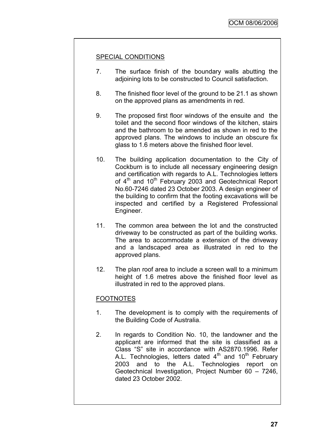## SPECIAL CONDITIONS

- 7. The surface finish of the boundary walls abutting the adjoining lots to be constructed to Council satisfaction.
- 8. The finished floor level of the ground to be 21.1 as shown on the approved plans as amendments in red.
- 9. The proposed first floor windows of the ensuite and the toilet and the second floor windows of the kitchen, stairs and the bathroom to be amended as shown in red to the approved plans. The windows to include an obscure fix glass to 1.6 meters above the finished floor level.
- 10. The building application documentation to the City of Cockburn is to include all necessary engineering design and certification with regards to A.L. Technologies letters of 4<sup>th</sup> and 10<sup>th</sup> February 2003 and Geotechnical Report No.60-7246 dated 23 October 2003. A design engineer of the building to confirm that the footing excavations will be inspected and certified by a Registered Professional Engineer.
- 11. The common area between the lot and the constructed driveway to be constructed as part of the building works. The area to accommodate a extension of the driveway and a landscaped area as illustrated in red to the approved plans.
- 12. The plan roof area to include a screen wall to a minimum height of 1.6 metres above the finished floor level as illustrated in red to the approved plans.

## FOOTNOTES

- 1. The development is to comply with the requirements of the Building Code of Australia.
- 2. In regards to Condition No. 10, the landowner and the applicant are informed that the site is classified as a Class "S" site in accordance with AS2870.1996. Refer A.L. Technologies, letters dated  $4<sup>th</sup>$  and  $10<sup>th</sup>$  February 2003 and to the A.L. Technologies report on Geotechnical Investigation, Project Number 60 – 7246, dated 23 October 2002.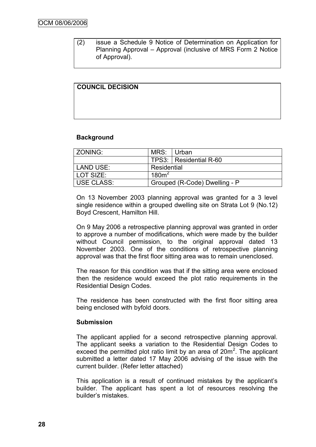(2) issue a Schedule 9 Notice of Determination on Application for Planning Approval – Approval (inclusive of MRS Form 2 Notice of Approval).

| <b>COUNCIL DECISION</b> |  |  |
|-------------------------|--|--|
|                         |  |  |
|                         |  |  |
|                         |  |  |
|                         |  |  |
|                         |  |  |
|                         |  |  |

## **Background**

| ZONING:    | MRS: Urban                    |                          |  |
|------------|-------------------------------|--------------------------|--|
|            |                               | TPS3:   Residential R-60 |  |
| LAND USE:  | Residential                   |                          |  |
| LOT SIZE:  | 180m <sup>2</sup>             |                          |  |
| USE CLASS: | Grouped (R-Code) Dwelling - P |                          |  |

On 13 November 2003 planning approval was granted for a 3 level single residence within a grouped dwelling site on Strata Lot 9 (No.12) Boyd Crescent, Hamilton Hill.

On 9 May 2006 a retrospective planning approval was granted in order to approve a number of modifications, which were made by the builder without Council permission, to the original approval dated 13 November 2003. One of the conditions of retrospective planning approval was that the first floor sitting area was to remain unenclosed.

The reason for this condition was that if the sitting area were enclosed then the residence would exceed the plot ratio requirements in the Residential Design Codes.

The residence has been constructed with the first floor sitting area being enclosed with byfold doors.

## **Submission**

The applicant applied for a second retrospective planning approval. The applicant seeks a variation to the Residential Design Codes to exceed the permitted plot ratio limit by an area of  $20m^2$ . The applicant submitted a letter dated 17 May 2006 advising of the issue with the current builder. (Refer letter attached)

This application is a result of continued mistakes by the applicant"s builder. The applicant has spent a lot of resources resolving the builder"s mistakes.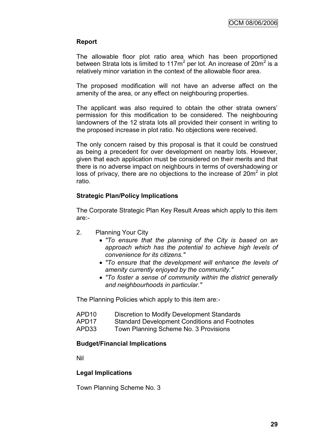## **Report**

The allowable floor plot ratio area which has been proportioned between Strata lots is limited to 117m<sup>2</sup> per lot. An increase of 20m<sup>2</sup> is a relatively minor variation in the context of the allowable floor area.

The proposed modification will not have an adverse affect on the amenity of the area, or any effect on neighbouring properties.

The applicant was also required to obtain the other strata owners' permission for this modification to be considered. The neighbouring landowners of the 12 strata lots all provided their consent in writing to the proposed increase in plot ratio. No objections were received.

The only concern raised by this proposal is that it could be construed as being a precedent for over development on nearby lots. However, given that each application must be considered on their merits and that there is no adverse impact on neighbours in terms of overshadowing or loss of privacy, there are no objections to the increase of  $20m^2$  in plot ratio.

## **Strategic Plan/Policy Implications**

The Corporate Strategic Plan Key Result Areas which apply to this item are:-

- 2. Planning Your City
	- *"To ensure that the planning of the City is based on an approach which has the potential to achieve high levels of convenience for its citizens."*
	- *"To ensure that the development will enhance the levels of amenity currently enjoyed by the community."*
	- *"To foster a sense of community within the district generally and neighbourhoods in particular."*

The Planning Policies which apply to this item are:-

- APD10 Discretion to Modify Development Standards
- APD17 Standard Development Conditions and Footnotes
- APD33 Town Planning Scheme No. 3 Provisions

## **Budget/Financial Implications**

Nil

## **Legal Implications**

Town Planning Scheme No. 3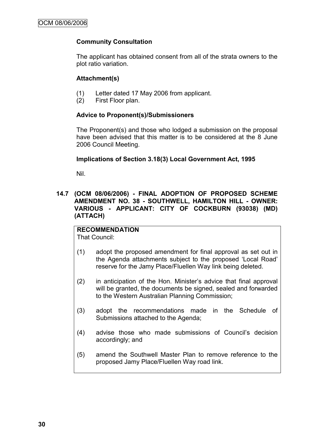## **Community Consultation**

The applicant has obtained consent from all of the strata owners to the plot ratio variation.

## **Attachment(s)**

- (1) Letter dated 17 May 2006 from applicant.
- (2) First Floor plan.

## **Advice to Proponent(s)/Submissioners**

The Proponent(s) and those who lodged a submission on the proposal have been advised that this matter is to be considered at the 8 June 2006 Council Meeting.

## **Implications of Section 3.18(3) Local Government Act, 1995**

Nil.

## **14.7 (OCM 08/06/2006) - FINAL ADOPTION OF PROPOSED SCHEME AMENDMENT NO. 38 - SOUTHWELL, HAMILTON HILL - OWNER: VARIOUS - APPLICANT: CITY OF COCKBURN (93038) (MD) (ATTACH)**

## **RECOMMENDATION**

That Council:

- (1) adopt the proposed amendment for final approval as set out in the Agenda attachments subject to the proposed "Local Road" reserve for the Jamy Place/Fluellen Way link being deleted.
- (2) in anticipation of the Hon. Minister"s advice that final approval will be granted, the documents be signed, sealed and forwarded to the Western Australian Planning Commission;
- (3) adopt the recommendations made in the Schedule of Submissions attached to the Agenda;
- (4) advise those who made submissions of Council"s decision accordingly; and
- (5) amend the Southwell Master Plan to remove reference to the proposed Jamy Place/Fluellen Way road link.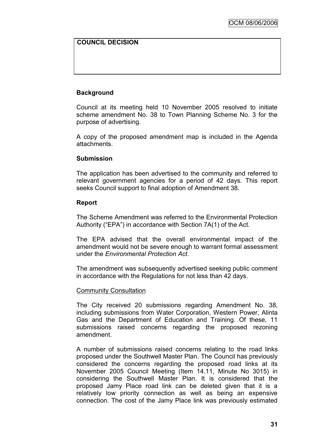## **COUNCIL DECISION**

## **Background**

Council at its meeting held 10 November 2005 resolved to initiate scheme amendment No. 38 to Town Planning Scheme No. 3 for the purpose of advertising.

A copy of the proposed amendment map is included in the Agenda attachments.

#### **Submission**

The application has been advertised to the community and referred to relevant government agencies for a period of 42 days. This report seeks Council support to final adoption of Amendment 38.

#### **Report**

The Scheme Amendment was referred to the Environmental Protection Authority ("EPA") in accordance with Section 7A(1) of the Act.

The EPA advised that the overall environmental impact of the amendment would not be severe enough to warrant formal assessment under the *Environmental Protection Act*.

The amendment was subsequently advertised seeking public comment in accordance with the Regulations for not less than 42 days.

#### Community Consultation

The City received 20 submissions regarding Amendment No. 38, including submissions from Water Corporation, Western Power, Alinta Gas and the Department of Education and Training. Of these, 11 submissions raised concerns regarding the proposed rezoning amendment.

A number of submissions raised concerns relating to the road links proposed under the Southwell Master Plan. The Council has previously considered the concerns regarding the proposed road links at its November 2005 Council Meeting (Item 14.11, Minute No 3015) in considering the Southwell Master Plan. It is considered that the proposed Jamy Place road link can be deleted given that it is a relatively low priority connection as well as being an expensive connection. The cost of the Jamy Place link was previously estimated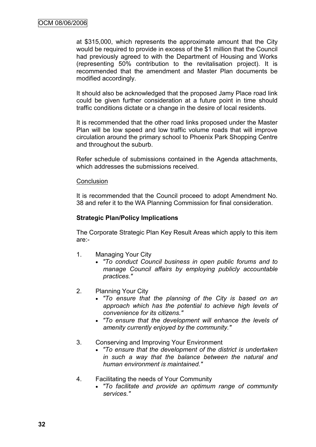at \$315,000, which represents the approximate amount that the City would be required to provide in excess of the \$1 million that the Council had previously agreed to with the Department of Housing and Works (representing 50% contribution to the revitalisation project). It is recommended that the amendment and Master Plan documents be modified accordingly.

It should also be acknowledged that the proposed Jamy Place road link could be given further consideration at a future point in time should traffic conditions dictate or a change in the desire of local residents.

It is recommended that the other road links proposed under the Master Plan will be low speed and low traffic volume roads that will improve circulation around the primary school to Phoenix Park Shopping Centre and throughout the suburb.

Refer schedule of submissions contained in the Agenda attachments, which addresses the submissions received.

#### **Conclusion**

It is recommended that the Council proceed to adopt Amendment No. 38 and refer it to the WA Planning Commission for final consideration.

## **Strategic Plan/Policy Implications**

The Corporate Strategic Plan Key Result Areas which apply to this item are:-

- 1. Managing Your City
	- *"To conduct Council business in open public forums and to manage Council affairs by employing publicly accountable practices."*
- 2. Planning Your City
	- *"To ensure that the planning of the City is based on an approach which has the potential to achieve high levels of convenience for its citizens."*
	- *"To ensure that the development will enhance the levels of amenity currently enjoyed by the community."*
- 3. Conserving and Improving Your Environment
	- *"To ensure that the development of the district is undertaken in such a way that the balance between the natural and human environment is maintained."*
- 4. Facilitating the needs of Your Community
	- *"To facilitate and provide an optimum range of community services."*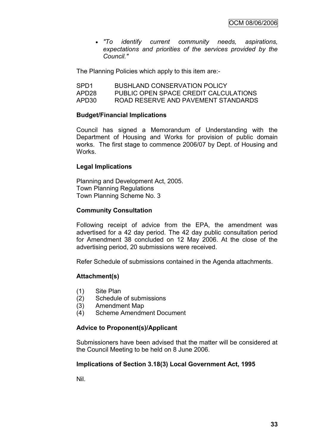*"To identify current community needs, aspirations, expectations and priorities of the services provided by the Council."*

The Planning Policies which apply to this item are:-

| SPD <sub>1</sub> | <b>BUSHLAND CONSERVATION POLICY</b>   |
|------------------|---------------------------------------|
| APD28            | PUBLIC OPEN SPACE CREDIT CALCULATIONS |
| APD30            | ROAD RESERVE AND PAVEMENT STANDARDS   |

#### **Budget/Financial Implications**

Council has signed a Memorandum of Understanding with the Department of Housing and Works for provision of public domain works. The first stage to commence 2006/07 by Dept. of Housing and Works.

## **Legal Implications**

Planning and Development Act, 2005. Town Planning Regulations Town Planning Scheme No. 3

#### **Community Consultation**

Following receipt of advice from the EPA, the amendment was advertised for a 42 day period. The 42 day public consultation period for Amendment 38 concluded on 12 May 2006. At the close of the advertising period, 20 submissions were received.

Refer Schedule of submissions contained in the Agenda attachments.

#### **Attachment(s)**

- (1) Site Plan
- (2) Schedule of submissions
- (3) Amendment Map
- (4) Scheme Amendment Document

## **Advice to Proponent(s)/Applicant**

Submissioners have been advised that the matter will be considered at the Council Meeting to be held on 8 June 2006.

#### **Implications of Section 3.18(3) Local Government Act, 1995**

Nil.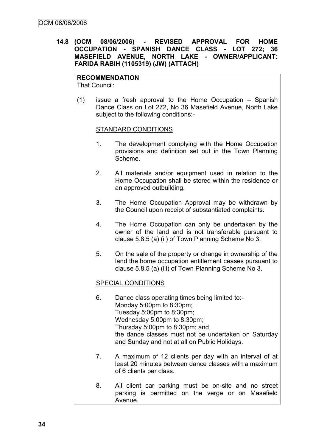**14.8 (OCM 08/06/2006) - REVISED APPROVAL FOR HOME OCCUPATION - SPANISH DANCE CLASS - LOT 272; 36 MASEFIELD AVENUE, NORTH LAKE - OWNER/APPLICANT: FARIDA RABIH (1105319) (JW) (ATTACH)**

## **RECOMMENDATION**

That Council:

(1) issue a fresh approval to the Home Occupation – Spanish Dance Class on Lot 272, No 36 Masefield Avenue, North Lake subject to the following conditions:-

#### STANDARD CONDITIONS

- 1. The development complying with the Home Occupation provisions and definition set out in the Town Planning Scheme.
- 2. All materials and/or equipment used in relation to the Home Occupation shall be stored within the residence or an approved outbuilding.
- 3. The Home Occupation Approval may be withdrawn by the Council upon receipt of substantiated complaints.
- 4. The Home Occupation can only be undertaken by the owner of the land and is not transferable pursuant to clause 5.8.5 (a) (ii) of Town Planning Scheme No 3.
- 5. On the sale of the property or change in ownership of the land the home occupation entitlement ceases pursuant to clause 5.8.5 (a) (iii) of Town Planning Scheme No 3.

## SPECIAL CONDITIONS

- 6. Dance class operating times being limited to:- Monday 5:00pm to 8:30pm; Tuesday 5:00pm to 8:30pm; Wednesday 5:00pm to 8:30pm; Thursday 5:00pm to 8:30pm; and the dance classes must not be undertaken on Saturday and Sunday and not at all on Public Holidays.
- 7. A maximum of 12 clients per day with an interval of at least 20 minutes between dance classes with a maximum of 6 clients per class.
- 8. All client car parking must be on-site and no street parking is permitted on the verge or on Masefield Avenue.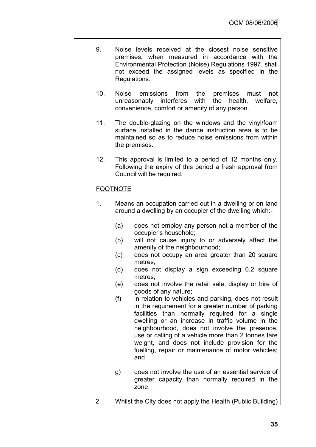- 9. Noise levels received at the closest noise sensitive premises, when measured in accordance with the Environmental Protection (Noise) Regulations 1997, shall not exceed the assigned levels as specified in the Regulations.
	- 10. Noise emissions from the premises must not unreasonably interferes with the health, welfare, convenience, comfort or amenity of any person.
	- 11. The double-glazing on the windows and the vinyl/foam surface installed in the dance instruction area is to be maintained so as to reduce noise emissions from within the premises.
	- 12. This approval is limited to a period of 12 months only. Following the expiry of this period a fresh approval from Council will be required.

# FOOTNOTE

- 1. Means an occupation carried out in a dwelling or on land around a dwelling by an occupier of the dwelling which:-
	- (a) does not employ any person not a member of the occupier's household;
	- (b) will not cause injury to or adversely affect the amenity of the neighbourhood;
	- (c) does not occupy an area greater than 20 square metres;
	- (d) does not display a sign exceeding 0.2 square metres;
	- (e) does not involve the retail sale, display or hire of goods of any nature;
	- (f) in relation to vehicles and parking, does not result in the requirement for a greater number of parking facilities than normally required for a single dwelling or an increase in traffic volume in the neighbourhood, does not involve the presence, use or calling of a vehicle more than 2 tonnes tare weight, and does not include provision for the fuelling, repair or maintenance of motor vehicles; and
	- g) does not involve the use of an essential service of greater capacity than normally required in the zone.
- 2. Whilst the City does not apply the Health (Public Building)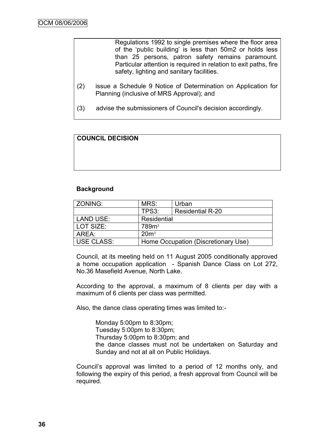Regulations 1992 to single premises where the floor area of the "public building" is less than 50m2 or holds less than 25 persons, patron safety remains paramount. Particular attention is required in relation to exit paths, fire safety, lighting and sanitary facilities.

- (2) issue a Schedule 9 Notice of Determination on Application for Planning (inclusive of MRS Approval); and
- (3) advise the submissioners of Council's decision accordingly.

# **COUNCIL DECISION**

#### **Background**

| ZONING:          | MRS:                                | Urban                   |  |
|------------------|-------------------------------------|-------------------------|--|
|                  | TPS3:                               | <b>Residential R-20</b> |  |
| <b>LAND USE:</b> | Residential                         |                         |  |
| l LOT SIZE:      | 789m <sup>2</sup>                   |                         |  |
| AREA:            | 20m <sup>2</sup>                    |                         |  |
| USE CLASS:       | Home Occupation (Discretionary Use) |                         |  |

Council, at its meeting held on 11 August 2005 conditionally approved a home occupation application - Spanish Dance Class on Lot 272, No.36 Masefield Avenue, North Lake.

According to the approval, a maximum of 8 clients per day with a maximum of 6 clients per class was permitted.

Also, the dance class operating times was limited to:-

Monday 5:00pm to 8:30pm; Tuesday 5:00pm to 8:30pm; Thursday 5:00pm to 8:30pm; and the dance classes must not be undertaken on Saturday and Sunday and not at all on Public Holidays.

Council"s approval was limited to a period of 12 months only, and following the expiry of this period, a fresh approval from Council will be required.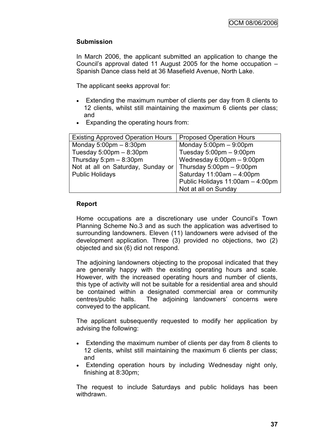## **Submission**

In March 2006, the applicant submitted an application to change the Council"s approval dated 11 August 2005 for the home occupation – Spanish Dance class held at 36 Masefield Avenue, North Lake.

The applicant seeks approval for:

- Extending the maximum number of clients per day from 8 clients to 12 clients, whilst still maintaining the maximum 6 clients per class; and
- Expanding the operating hours from:

| <b>Existing Approved Operation Hours</b>  | <b>Proposed Operation Hours</b>             |
|-------------------------------------------|---------------------------------------------|
| Monday $5:00 \text{pm} - 8:30 \text{pm}$  | Monday $5:00 \text{pm} - 9:00 \text{pm}$    |
| Tuesday $5.00 \text{pm} - 8.30 \text{pm}$ | Tuesday $5:00 \text{pm} - 9:00 \text{pm}$   |
| Thursday $5:pm - 8:30pm$                  | Wednesday $6.00 \text{pm} - 9.00 \text{pm}$ |
| Not at all on Saturday, Sunday or         | Thursday 5:00pm $-$ 9:00pm                  |
| <b>Public Holidays</b>                    | Saturday $11:00am - 4:00pm$                 |
|                                           | Public Holidays 11:00am - 4:00pm            |
|                                           | Not at all on Sunday                        |

#### **Report**

Home occupations are a discretionary use under Council's Town Planning Scheme No.3 and as such the application was advertised to surrounding landowners. Eleven (11) landowners were advised of the development application. Three (3) provided no objections, two (2) objected and six (6) did not respond.

The adjoining landowners objecting to the proposal indicated that they are generally happy with the existing operating hours and scale. However, with the increased operating hours and number of clients, this type of activity will not be suitable for a residential area and should be contained within a designated commercial area or community centres/public halls. The adjoining landowners" concerns were conveyed to the applicant.

The applicant subsequently requested to modify her application by advising the following:

- Extending the maximum number of clients per day from 8 clients to 12 clients, whilst still maintaining the maximum 6 clients per class; and
- Extending operation hours by including Wednesday night only, finishing at 8:30pm;

The request to include Saturdays and public holidays has been withdrawn.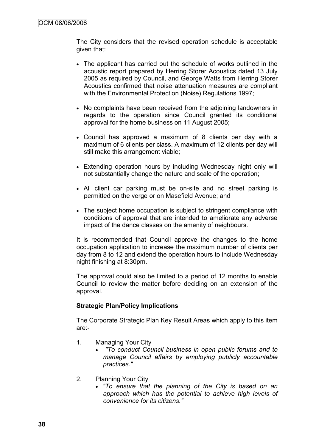The City considers that the revised operation schedule is acceptable given that:

- The applicant has carried out the schedule of works outlined in the acoustic report prepared by Herring Storer Acoustics dated 13 July 2005 as required by Council, and George Watts from Herring Storer Acoustics confirmed that noise attenuation measures are compliant with the Environmental Protection (Noise) Regulations 1997;
- No complaints have been received from the adioining landowners in regards to the operation since Council granted its conditional approval for the home business on 11 August 2005;
- Council has approved a maximum of 8 clients per day with a maximum of 6 clients per class. A maximum of 12 clients per day will still make this arrangement viable;
- Extending operation hours by including Wednesday night only will not substantially change the nature and scale of the operation;
- All client car parking must be on-site and no street parking is permitted on the verge or on Masefield Avenue; and
- The subject home occupation is subject to stringent compliance with conditions of approval that are intended to ameliorate any adverse impact of the dance classes on the amenity of neighbours.

It is recommended that Council approve the changes to the home occupation application to increase the maximum number of clients per day from 8 to 12 and extend the operation hours to include Wednesday night finishing at 8:30pm.

The approval could also be limited to a period of 12 months to enable Council to review the matter before deciding on an extension of the approval.

## **Strategic Plan/Policy Implications**

The Corporate Strategic Plan Key Result Areas which apply to this item are:-

- 1. Managing Your City
	- *"To conduct Council business in open public forums and to manage Council affairs by employing publicly accountable practices."*
- 2. Planning Your City
	- *"To ensure that the planning of the City is based on an approach which has the potential to achieve high levels of convenience for its citizens."*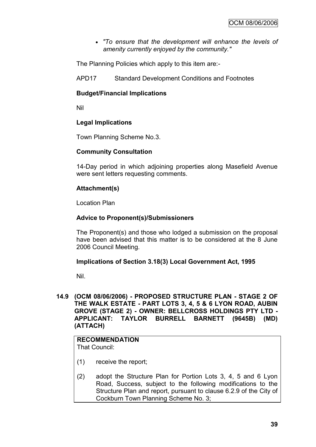*"To ensure that the development will enhance the levels of amenity currently enjoyed by the community."*

The Planning Policies which apply to this item are:-

APD17 Standard Development Conditions and Footnotes

## **Budget/Financial Implications**

Nil

## **Legal Implications**

Town Planning Scheme No.3.

## **Community Consultation**

14-Day period in which adjoining properties along Masefield Avenue were sent letters requesting comments.

## **Attachment(s)**

Location Plan

## **Advice to Proponent(s)/Submissioners**

The Proponent(s) and those who lodged a submission on the proposal have been advised that this matter is to be considered at the 8 June 2006 Council Meeting.

## **Implications of Section 3.18(3) Local Government Act, 1995**

Nil.

**14.9 (OCM 08/06/2006) - PROPOSED STRUCTURE PLAN - STAGE 2 OF THE WALK ESTATE - PART LOTS 3, 4, 5 & 6 LYON ROAD, AUBIN GROVE (STAGE 2) - OWNER: BELLCROSS HOLDINGS PTY LTD - APPLICANT: TAYLOR BURRELL BARNETT (9645B) (MD) (ATTACH)**

# **RECOMMENDATION**

That Council:

- (1) receive the report;
- (2) adopt the Structure Plan for Portion Lots 3, 4, 5 and 6 Lyon Road, Success, subject to the following modifications to the Structure Plan and report, pursuant to clause 6.2.9 of the City of Cockburn Town Planning Scheme No. 3;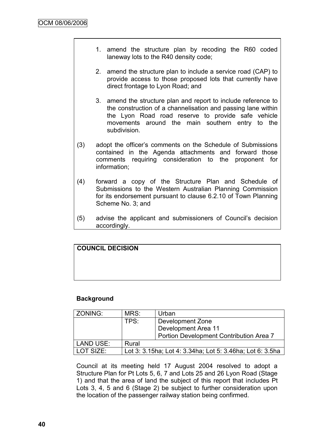- 1. amend the structure plan by recoding the R60 coded laneway lots to the R40 density code;
- 2. amend the structure plan to include a service road (CAP) to provide access to those proposed lots that currently have direct frontage to Lyon Road; and
- 3. amend the structure plan and report to include reference to the construction of a channelisation and passing lane within the Lyon Road road reserve to provide safe vehicle movements around the main southern entry to the subdivision.
- (3) adopt the officer"s comments on the Schedule of Submissions contained in the Agenda attachments and forward those comments requiring consideration to the proponent for information;
- (4) forward a copy of the Structure Plan and Schedule of Submissions to the Western Australian Planning Commission for its endorsement pursuant to clause 6.2.10 of Town Planning Scheme No. 3; and
- (5) advise the applicant and submissioners of Council"s decision accordingly.

| <b>COUNCIL DECISION</b> |  |  |
|-------------------------|--|--|
|                         |  |  |
|                         |  |  |
|                         |  |  |

# **Background**

| ZONING:   | MRS:                                                      | Urban                                   |  |
|-----------|-----------------------------------------------------------|-----------------------------------------|--|
|           | TPS:                                                      | Development Zone                        |  |
|           |                                                           | Development Area 11                     |  |
|           |                                                           | Portion Development Contribution Area 7 |  |
| LAND USE: | Rural                                                     |                                         |  |
| LOT SIZE: | Lot 3: 3.15ha; Lot 4: 3.34ha; Lot 5: 3.46ha; Lot 6: 3.5ha |                                         |  |

Council at its meeting held 17 August 2004 resolved to adopt a Structure Plan for Pt Lots 5, 6, 7 and Lots 25 and 26 Lyon Road (Stage 1) and that the area of land the subject of this report that includes Pt Lots 3, 4, 5 and 6 (Stage 2) be subject to further consideration upon the location of the passenger railway station being confirmed.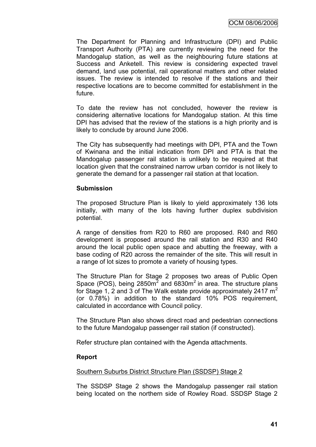The Department for Planning and Infrastructure (DPI) and Public Transport Authority (PTA) are currently reviewing the need for the Mandogalup station, as well as the neighbouring future stations at Success and Anketell. This review is considering expected travel demand, land use potential, rail operational matters and other related issues. The review is intended to resolve if the stations and their respective locations are to become committed for establishment in the future.

To date the review has not concluded, however the review is considering alternative locations for Mandogalup station. At this time DPI has advised that the review of the stations is a high priority and is likely to conclude by around June 2006.

The City has subsequently had meetings with DPI, PTA and the Town of Kwinana and the initial indication from DPI and PTA is that the Mandogalup passenger rail station is unlikely to be required at that location given that the constrained narrow urban corridor is not likely to generate the demand for a passenger rail station at that location.

## **Submission**

The proposed Structure Plan is likely to yield approximately 136 lots initially, with many of the lots having further duplex subdivision potential.

A range of densities from R20 to R60 are proposed. R40 and R60 development is proposed around the rail station and R30 and R40 around the local public open space and abutting the freeway, with a base coding of R20 across the remainder of the site. This will result in a range of lot sizes to promote a variety of housing types.

The Structure Plan for Stage 2 proposes two areas of Public Open Space (POS), being  $2850m^2$  and  $6830m^2$  in area. The structure plans for Stage 1, 2 and 3 of The Walk estate provide approximately 2417  $m<sup>2</sup>$ (or 0.78%) in addition to the standard 10% POS requirement, calculated in accordance with Council policy.

The Structure Plan also shows direct road and pedestrian connections to the future Mandogalup passenger rail station (if constructed).

Refer structure plan contained with the Agenda attachments.

## **Report**

## Southern Suburbs District Structure Plan (SSDSP) Stage 2

The SSDSP Stage 2 shows the Mandogalup passenger rail station being located on the northern side of Rowley Road. SSDSP Stage 2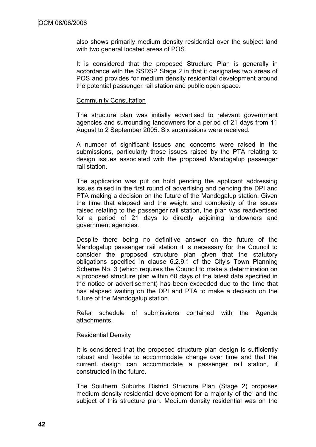also shows primarily medium density residential over the subject land with two general located areas of POS.

It is considered that the proposed Structure Plan is generally in accordance with the SSDSP Stage 2 in that it designates two areas of POS and provides for medium density residential development around the potential passenger rail station and public open space.

#### Community Consultation

The structure plan was initially advertised to relevant government agencies and surrounding landowners for a period of 21 days from 11 August to 2 September 2005. Six submissions were received.

A number of significant issues and concerns were raised in the submissions, particularly those issues raised by the PTA relating to design issues associated with the proposed Mandogalup passenger rail station.

The application was put on hold pending the applicant addressing issues raised in the first round of advertising and pending the DPI and PTA making a decision on the future of the Mandogalup station. Given the time that elapsed and the weight and complexity of the issues raised relating to the passenger rail station, the plan was readvertised for a period of 21 days to directly adjoining landowners and government agencies.

Despite there being no definitive answer on the future of the Mandogalup passenger rail station it is necessary for the Council to consider the proposed structure plan given that the statutory obligations specified in clause 6.2.9.1 of the City"s Town Planning Scheme No. 3 (which requires the Council to make a determination on a proposed structure plan within 60 days of the latest date specified in the notice or advertisement) has been exceeded due to the time that has elapsed waiting on the DPI and PTA to make a decision on the future of the Mandogalup station.

Refer schedule of submissions contained with the Agenda attachments.

## Residential Density

It is considered that the proposed structure plan design is sufficiently robust and flexible to accommodate change over time and that the current design can accommodate a passenger rail station, if constructed in the future.

The Southern Suburbs District Structure Plan (Stage 2) proposes medium density residential development for a majority of the land the subject of this structure plan. Medium density residential was on the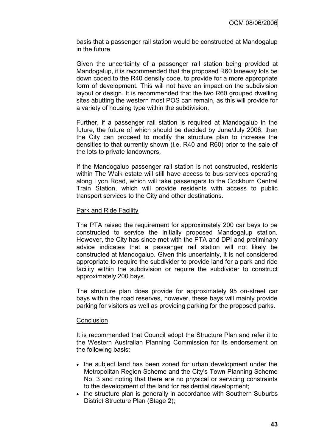basis that a passenger rail station would be constructed at Mandogalup in the future.

Given the uncertainty of a passenger rail station being provided at Mandogalup, it is recommended that the proposed R60 laneway lots be down coded to the R40 density code, to provide for a more appropriate form of development. This will not have an impact on the subdivision layout or design. It is recommended that the two R60 grouped dwelling sites abutting the western most POS can remain, as this will provide for a variety of housing type within the subdivision.

Further, if a passenger rail station is required at Mandogalup in the future, the future of which should be decided by June/July 2006, then the City can proceed to modify the structure plan to increase the densities to that currently shown (i.e. R40 and R60) prior to the sale of the lots to private landowners.

If the Mandogalup passenger rail station is not constructed, residents within The Walk estate will still have access to bus services operating along Lyon Road, which will take passengers to the Cockburn Central Train Station, which will provide residents with access to public transport services to the City and other destinations.

#### Park and Ride Facility

The PTA raised the requirement for approximately 200 car bays to be constructed to service the initially proposed Mandogalup station. However, the City has since met with the PTA and DPI and preliminary advice indicates that a passenger rail station will not likely be constructed at Mandogalup. Given this uncertainty, it is not considered appropriate to require the subdivider to provide land for a park and ride facility within the subdivision or require the subdivider to construct approximately 200 bays.

The structure plan does provide for approximately 95 on-street car bays within the road reserves, however, these bays will mainly provide parking for visitors as well as providing parking for the proposed parks.

## **Conclusion**

It is recommended that Council adopt the Structure Plan and refer it to the Western Australian Planning Commission for its endorsement on the following basis:

- the subject land has been zoned for urban development under the Metropolitan Region Scheme and the City"s Town Planning Scheme No. 3 and noting that there are no physical or servicing constraints to the development of the land for residential development;
- the structure plan is generally in accordance with Southern Suburbs District Structure Plan (Stage 2);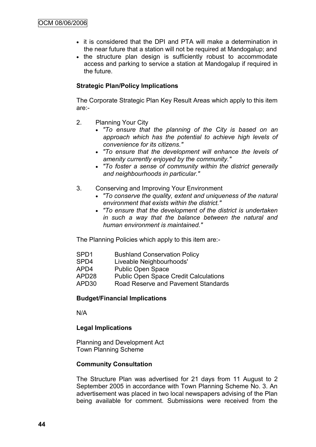- it is considered that the DPI and PTA will make a determination in the near future that a station will not be required at Mandogalup; and
- the structure plan design is sufficiently robust to accommodate access and parking to service a station at Mandogalup if required in the future.

## **Strategic Plan/Policy Implications**

The Corporate Strategic Plan Key Result Areas which apply to this item are:-

- 2. Planning Your City
	- *"To ensure that the planning of the City is based on an approach which has the potential to achieve high levels of convenience for its citizens."*
	- *"To ensure that the development will enhance the levels of amenity currently enjoyed by the community."*
	- *"To foster a sense of community within the district generally and neighbourhoods in particular."*
- 3. Conserving and Improving Your Environment
	- *"To conserve the quality, extent and uniqueness of the natural environment that exists within the district."*
	- *"To ensure that the development of the district is undertaken in such a way that the balance between the natural and human environment is maintained."*

The Planning Policies which apply to this item are:-

- SPD1 Bushland Conservation Policy
- SPD4 Liveable Neighbourhoods'
- APD4 Public Open Space
- APD28 Public Open Space Credit Calculations
- APD30 Road Reserve and Pavement Standards

## **Budget/Financial Implications**

N/A

## **Legal Implications**

Planning and Development Act Town Planning Scheme

## **Community Consultation**

The Structure Plan was advertised for 21 days from 11 August to 2 September 2005 in accordance with Town Planning Scheme No. 3. An advertisement was placed in two local newspapers advising of the Plan being available for comment. Submissions were received from the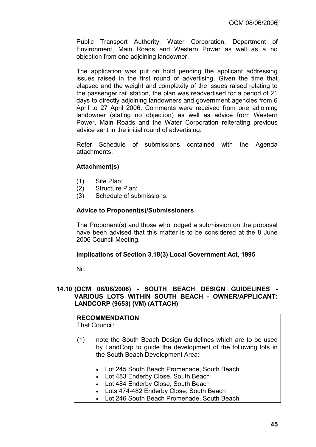Public Transport Authority, Water Corporation, Department of Environment, Main Roads and Western Power as well as a no objection from one adjoining landowner.

The application was put on hold pending the applicant addressing issues raised in the first round of advertising. Given the time that elapsed and the weight and complexity of the issues raised relating to the passenger rail station, the plan was readvertised for a period of 21 days to directly adjoining landowners and government agencies from 6 April to 27 April 2006. Comments were received from one adjoining landowner (stating no objection) as well as advice from Western Power, Main Roads and the Water Corporation reiterating previous advice sent in the initial round of advertising.

Refer Schedule of submissions contained with the Agenda attachments.

## **Attachment(s)**

- (1) Site Plan;
- (2) Structure Plan;
- (3) Schedule of submissions.

## **Advice to Proponent(s)/Submissioners**

The Proponent(s) and those who lodged a submission on the proposal have been advised that this matter is to be considered at the 8 June 2006 Council Meeting.

## **Implications of Section 3.18(3) Local Government Act, 1995**

Nil.

## **14.10 (OCM 08/06/2006) - SOUTH BEACH DESIGN GUIDELINES - VARIOUS LOTS WITHIN SOUTH BEACH - OWNER/APPLICANT: LANDCORP (9653) (VM) (ATTACH)**

#### **RECOMMENDATION** That Council:

- (1) note the South Beach Design Guidelines which are to be used by LandCorp to guide the development of the following lots in the South Beach Development Area:
	- Lot 245 South Beach Promenade, South Beach
	- Lot 483 Enderby Close, South Beach
	- Lot 484 Enderby Close, South Beach
	- Lots 474-482 Enderby Close, South Beach
	- Lot 246 South Beach Promenade, South Beach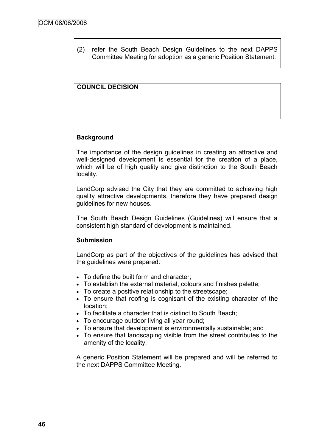(2) refer the South Beach Design Guidelines to the next DAPPS Committee Meeting for adoption as a generic Position Statement.

# **COUNCIL DECISION**

## **Background**

The importance of the design guidelines in creating an attractive and well-designed development is essential for the creation of a place, which will be of high quality and give distinction to the South Beach locality.

LandCorp advised the City that they are committed to achieving high quality attractive developments, therefore they have prepared design guidelines for new houses.

The South Beach Design Guidelines (Guidelines) will ensure that a consistent high standard of development is maintained.

## **Submission**

LandCorp as part of the objectives of the guidelines has advised that the guidelines were prepared:

- To define the built form and character;
- To establish the external material, colours and finishes palette;
- To create a positive relationship to the streetscape;
- To ensure that roofing is cognisant of the existing character of the location;
- To facilitate a character that is distinct to South Beach;
- To encourage outdoor living all year round;
- To ensure that development is environmentally sustainable; and
- To ensure that landscaping visible from the street contributes to the amenity of the locality.

A generic Position Statement will be prepared and will be referred to the next DAPPS Committee Meeting.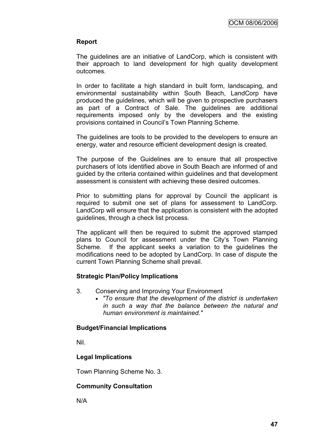## **Report**

The guidelines are an initiative of LandCorp, which is consistent with their approach to land development for high quality development outcomes.

In order to facilitate a high standard in built form, landscaping, and environmental sustainability within South Beach, LandCorp have produced the guidelines, which will be given to prospective purchasers as part of a Contract of Sale. The guidelines are additional requirements imposed only by the developers and the existing provisions contained in Council"s Town Planning Scheme.

The guidelines are tools to be provided to the developers to ensure an energy, water and resource efficient development design is created.

The purpose of the Guidelines are to ensure that all prospective purchasers of lots identified above in South Beach are informed of and guided by the criteria contained within guidelines and that development assessment is consistent with achieving these desired outcomes.

Prior to submitting plans for approval by Council the applicant is required to submit one set of plans for assessment to LandCorp. LandCorp will ensure that the application is consistent with the adopted guidelines, through a check list process.

The applicant will then be required to submit the approved stamped plans to Council for assessment under the City"s Town Planning Scheme. If the applicant seeks a variation to the guidelines the modifications need to be adopted by LandCorp. In case of dispute the current Town Planning Scheme shall prevail.

# **Strategic Plan/Policy Implications**

- 3. Conserving and Improving Your Environment
	- *"To ensure that the development of the district is undertaken in such a way that the balance between the natural and human environment is maintained."*

## **Budget/Financial Implications**

Nil.

# **Legal Implications**

Town Planning Scheme No. 3.

## **Community Consultation**

N/A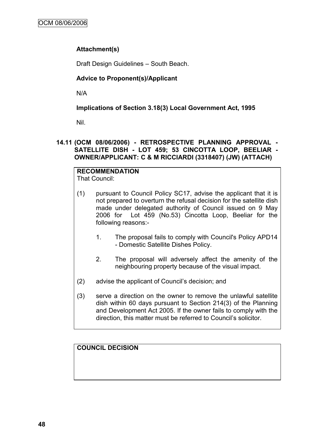# **Attachment(s)**

Draft Design Guidelines – South Beach.

# **Advice to Proponent(s)/Applicant**

N/A

# **Implications of Section 3.18(3) Local Government Act, 1995**

Nil.

## **14.11 (OCM 08/06/2006) - RETROSPECTIVE PLANNING APPROVAL - SATELLITE DISH - LOT 459; 53 CINCOTTA LOOP, BEELIAR - OWNER/APPLICANT: C & M RICCIARDI (3318407) (JW) (ATTACH)**

#### **RECOMMENDATION** That Council:

- (1) pursuant to Council Policy SC17, advise the applicant that it is not prepared to overturn the refusal decision for the satellite dish made under delegated authority of Council issued on 9 May 2006 for Lot 459 (No.53) Cincotta Loop, Beeliar for the following reasons:-
	- 1. The proposal fails to comply with Council's Policy APD14 - Domestic Satellite Dishes Policy.
	- 2. The proposal will adversely affect the amenity of the neighbouring property because of the visual impact.
- (2) advise the applicant of Council"s decision; and
- (3) serve a direction on the owner to remove the unlawful satellite dish within 60 days pursuant to Section 214(3) of the Planning and Development Act 2005. If the owner fails to comply with the direction, this matter must be referred to Council"s solicitor.

**COUNCIL DECISION**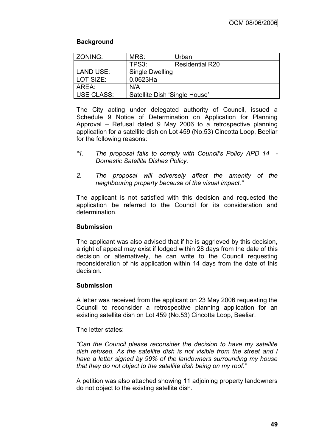# **Background**

| ZONING:           | MRS:                          | Urban                  |  |
|-------------------|-------------------------------|------------------------|--|
|                   | TPS3:                         | <b>Residential R20</b> |  |
| <b>LAND USE:</b>  | Single Dwelling               |                        |  |
| LOT SIZE:         | $0.0623$ Ha                   |                        |  |
| AREA:             | N/A                           |                        |  |
| <b>USE CLASS:</b> | Satellite Dish 'Single House' |                        |  |

The City acting under delegated authority of Council, issued a Schedule 9 Notice of Determination on Application for Planning Approval – Refusal dated 9 May 2006 to a retrospective planning application for a satellite dish on Lot 459 (No.53) Cincotta Loop, Beeliar for the following reasons:

- *"1. The proposal fails to comply with Council's Policy APD 14 - Domestic Satellite Dishes Policy.*
- *2. The proposal will adversely affect the amenity of the neighbouring property because of the visual impact."*

The applicant is not satisfied with this decision and requested the application be referred to the Council for its consideration and determination.

## **Submission**

The applicant was also advised that if he is aggrieved by this decision, a right of appeal may exist if lodged within 28 days from the date of this decision or alternatively, he can write to the Council requesting reconsideration of his application within 14 days from the date of this decision.

# **Submission**

A letter was received from the applicant on 23 May 2006 requesting the Council to reconsider a retrospective planning application for an existing satellite dish on Lot 459 (No.53) Cincotta Loop, Beeliar.

The letter states:

*"Can the Council please reconsider the decision to have my satellite dish refused. As the satellite dish is not visible from the street and I have a letter signed by 99% of the landowners surrounding my house that they do not object to the satellite dish being on my roof."*

A petition was also attached showing 11 adjoining property landowners do not object to the existing satellite dish.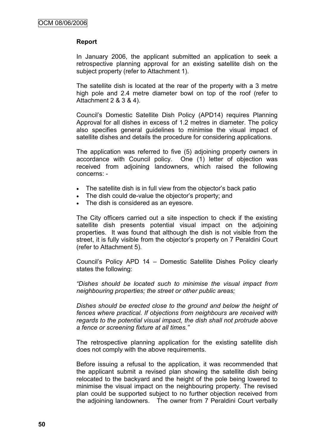## **Report**

In January 2006, the applicant submitted an application to seek a retrospective planning approval for an existing satellite dish on the subject property (refer to Attachment 1).

The satellite dish is located at the rear of the property with a 3 metre high pole and 2.4 metre diameter bowl on top of the roof (refer to Attachment 2 & 3 & 4).

Council"s Domestic Satellite Dish Policy (APD14) requires Planning Approval for all dishes in excess of 1.2 metres in diameter. The policy also specifies general guidelines to minimise the visual impact of satellite dishes and details the procedure for considering applications.

The application was referred to five (5) adjoining property owners in accordance with Council policy. One (1) letter of objection was received from adjoining landowners, which raised the following concerns: -

- The satellite dish is in full view from the objector's back patio
- The dish could de-value the objector's property; and
- The dish is considered as an eyesore.

The City officers carried out a site inspection to check if the existing satellite dish presents potential visual impact on the adjoining properties. It was found that although the dish is not visible from the street, it is fully visible from the objector's property on 7 Peraldini Court (refer to Attachment 5).

Council"s Policy APD 14 – Domestic Satellite Dishes Policy clearly states the following:

*"Dishes should be located such to minimise the visual impact from neighbouring properties; the street or other public areas;*

*Dishes should be erected close to the ground and below the height of fences where practical. If objections from neighbours are received with regards to the potential visual impact, the dish shall not protrude above a fence or screening fixture at all times."* 

The retrospective planning application for the existing satellite dish does not comply with the above requirements.

Before issuing a refusal to the application, it was recommended that the applicant submit a revised plan showing the satellite dish being relocated to the backyard and the height of the pole being lowered to minimise the visual impact on the neighbouring property. The revised plan could be supported subject to no further objection received from the adjoining landowners. The owner from 7 Peraldini Court verbally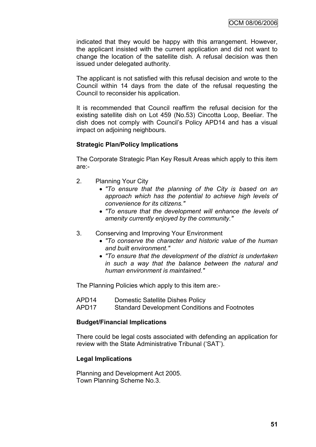indicated that they would be happy with this arrangement. However, the applicant insisted with the current application and did not want to change the location of the satellite dish. A refusal decision was then issued under delegated authority.

The applicant is not satisfied with this refusal decision and wrote to the Council within 14 days from the date of the refusal requesting the Council to reconsider his application.

It is recommended that Council reaffirm the refusal decision for the existing satellite dish on Lot 459 (No.53) Cincotta Loop, Beeliar. The dish does not comply with Council"s Policy APD14 and has a visual impact on adjoining neighbours.

## **Strategic Plan/Policy Implications**

The Corporate Strategic Plan Key Result Areas which apply to this item are:-

- 2. Planning Your City
	- *"To ensure that the planning of the City is based on an approach which has the potential to achieve high levels of convenience for its citizens."*
	- *"To ensure that the development will enhance the levels of amenity currently enjoyed by the community."*
- 3. Conserving and Improving Your Environment
	- *"To conserve the character and historic value of the human and built environment."*
	- *"To ensure that the development of the district is undertaken in such a way that the balance between the natural and human environment is maintained."*

The Planning Policies which apply to this item are:-

- APD14 Domestic Satellite Dishes Policy
- APD17 Standard Development Conditions and Footnotes

#### **Budget/Financial Implications**

There could be legal costs associated with defending an application for review with the State Administrative Tribunal ("SAT").

#### **Legal Implications**

Planning and Development Act 2005. Town Planning Scheme No.3.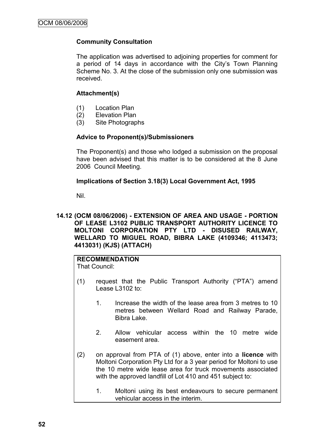## **Community Consultation**

The application was advertised to adjoining properties for comment for a period of 14 days in accordance with the City's Town Planning Scheme No. 3. At the close of the submission only one submission was received.

## **Attachment(s)**

- (1) Location Plan
- (2) Elevation Plan
- (3) Site Photographs

## **Advice to Proponent(s)/Submissioners**

The Proponent(s) and those who lodged a submission on the proposal have been advised that this matter is to be considered at the 8 June 2006 Council Meeting.

## **Implications of Section 3.18(3) Local Government Act, 1995**

Nil.

### **14.12 (OCM 08/06/2006) - EXTENSION OF AREA AND USAGE - PORTION OF LEASE L3102 PUBLIC TRANSPORT AUTHORITY LICENCE TO MOLTONI CORPORATION PTY LTD - DISUSED RAILWAY, WELLARD TO MIGUEL ROAD, BIBRA LAKE (4109346; 4113473; 4413031) (KJS) (ATTACH)**

#### **RECOMMENDATION** That Council:

- (1) request that the Public Transport Authority ("PTA") amend Lease L3102 to:
	- 1. Increase the width of the lease area from 3 metres to 10 metres between Wellard Road and Railway Parade, Bibra Lake.
	- 2. Allow vehicular access within the 10 metre wide easement area.
- (2) on approval from PTA of (1) above, enter into a **licence** with Moltoni Corporation Pty Ltd for a 3 year period for Moltoni to use the 10 metre wide lease area for truck movements associated with the approved landfill of Lot 410 and 451 subject to:
	- 1. Moltoni using its best endeavours to secure permanent vehicular access in the interim.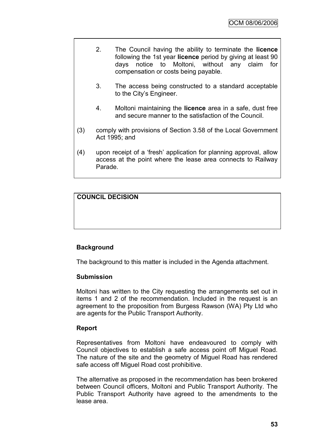- 2. The Council having the ability to terminate the **licence** following the 1st year **licence** period by giving at least 90 days notice to Moltoni, without any claim for compensation or costs being payable.
- 3. The access being constructed to a standard acceptable to the City's Engineer.
- 4. Moltoni maintaining the **licence** area in a safe, dust free and secure manner to the satisfaction of the Council.
- (3) comply with provisions of Section 3.58 of the Local Government Act 1995; and
- (4) upon receipt of a "fresh" application for planning approval, allow access at the point where the lease area connects to Railway Parade.

# **COUNCIL DECISION**

## **Background**

The background to this matter is included in the Agenda attachment.

#### **Submission**

Moltoni has written to the City requesting the arrangements set out in items 1 and 2 of the recommendation. Included in the request is an agreement to the proposition from Burgess Rawson (WA) Pty Ltd who are agents for the Public Transport Authority.

## **Report**

Representatives from Moltoni have endeavoured to comply with Council objectives to establish a safe access point off Miguel Road. The nature of the site and the geometry of Miguel Road has rendered safe access off Miguel Road cost prohibitive.

The alternative as proposed in the recommendation has been brokered between Council officers, Moltoni and Public Transport Authority. The Public Transport Authority have agreed to the amendments to the lease area.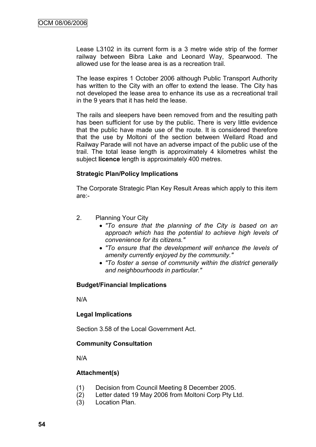Lease L3102 in its current form is a 3 metre wide strip of the former railway between Bibra Lake and Leonard Way, Spearwood. The allowed use for the lease area is as a recreation trail.

The lease expires 1 October 2006 although Public Transport Authority has written to the City with an offer to extend the lease. The City has not developed the lease area to enhance its use as a recreational trail in the 9 years that it has held the lease.

The rails and sleepers have been removed from and the resulting path has been sufficient for use by the public. There is very little evidence that the public have made use of the route. It is considered therefore that the use by Moltoni of the section between Wellard Road and Railway Parade will not have an adverse impact of the public use of the trail. The total lease length is approximately 4 kilometres whilst the subject **licence** length is approximately 400 metres.

## **Strategic Plan/Policy Implications**

The Corporate Strategic Plan Key Result Areas which apply to this item are:-

- 2. Planning Your City
	- *"To ensure that the planning of the City is based on an approach which has the potential to achieve high levels of convenience for its citizens."*
	- *"To ensure that the development will enhance the levels of amenity currently enjoyed by the community."*
	- *"To foster a sense of community within the district generally and neighbourhoods in particular."*

#### **Budget/Financial Implications**

N/A

## **Legal Implications**

Section 3.58 of the Local Government Act.

#### **Community Consultation**

N/A

## **Attachment(s)**

- (1) Decision from Council Meeting 8 December 2005.
- (2) Letter dated 19 May 2006 from Moltoni Corp Pty Ltd.
- (3) Location Plan.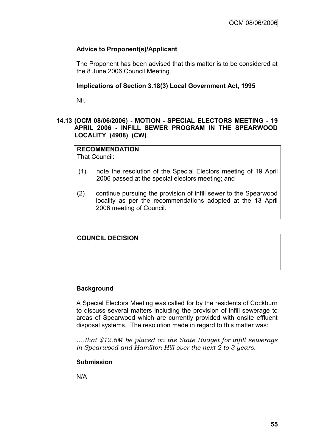# **Advice to Proponent(s)/Applicant**

The Proponent has been advised that this matter is to be considered at the 8 June 2006 Council Meeting.

#### **Implications of Section 3.18(3) Local Government Act, 1995**

Nil.

## **14.13 (OCM 08/06/2006) - MOTION - SPECIAL ELECTORS MEETING - 19 APRIL 2006 - INFILL SEWER PROGRAM IN THE SPEARWOOD LOCALITY (4908) (CW)**

# **RECOMMENDATION**

That Council:

- (1) note the resolution of the Special Electors meeting of 19 April 2006 passed at the special electors meeting; and
- (2) continue pursuing the provision of infill sewer to the Spearwood locality as per the recommendations adopted at the 13 April 2006 meeting of Council.

# **COUNCIL DECISION**

## **Background**

A Special Electors Meeting was called for by the residents of Cockburn to discuss several matters including the provision of infill sewerage to areas of Spearwood which are currently provided with onsite effluent disposal systems. The resolution made in regard to this matter was:

*….that \$12.6M be placed on the State Budget for infill sewerage in Spearwood and Hamilton Hill over the next 2 to 3 years.*

## **Submission**

N/A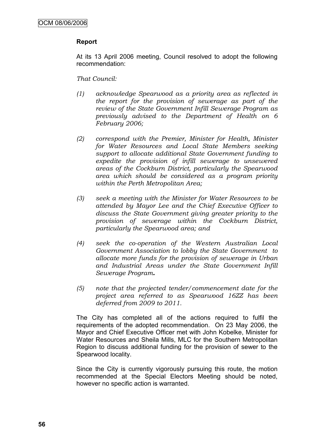## **Report**

At its 13 April 2006 meeting, Council resolved to adopt the following recommendation:

*That Council:*

- *(1) acknowledge Spearwood as a priority area as reflected in the report for the provision of sewerage as part of the review of the State Government Infill Sewerage Program as previously advised to the Department of Health on 6 February 2006;*
- *(2) correspond with the Premier, Minister for Health, Minister for Water Resources and Local State Members seeking support to allocate additional State Government funding to expedite the provision of infill sewerage to unsewered areas of the Cockburn District, particularly the Spearwood area which should be considered as a program priority within the Perth Metropolitan Area;*
- *(3) seek a meeting with the Minister for Water Resources to be attended by Mayor Lee and the Chief Executive Officer to discuss the State Government giving greater priority to the provision of sewerage within the Cockburn District, particularly the Spearwood area; and*
- *(4) seek the co-operation of the Western Australian Local Government Association to lobby the State Government to allocate more funds for the provision of sewerage in Urban and Industrial Areas under the State Government Infill Sewerage Program.*
- *(5) note that the projected tender/commencement date for the project area referred to as Spearwood 16ZZ has been deferred from 2009 to 2011.*

The City has completed all of the actions required to fulfil the requirements of the adopted recommendation. On 23 May 2006, the Mayor and Chief Executive Officer met with John Kobelke, Minister for Water Resources and Sheila Mills, MLC for the Southern Metropolitan Region to discuss additional funding for the provision of sewer to the Spearwood locality.

Since the City is currently vigorously pursuing this route, the motion recommended at the Special Electors Meeting should be noted, however no specific action is warranted.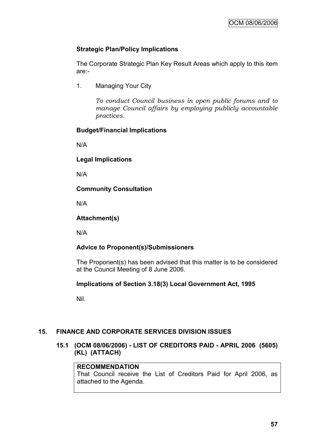# **Strategic Plan/Policy Implications**

The Corporate Strategic Plan Key Result Areas which apply to this item are:-

1. Managing Your City

*To conduct Council business in open public forums and to manage Council affairs by employing publicly accountable practices.*

## **Budget/Financial Implications**

N/A

**Legal Implications**

N/A

**Community Consultation**

N/A

**Attachment(s)**

N/A

# **Advice to Proponent(s)/Submissioners**

The Proponent(s) has been advised that this matter is to be considered at the Council Meeting of 8 June 2006.

# **Implications of Section 3.18(3) Local Government Act, 1995**

Nil.

# **15. FINANCE AND CORPORATE SERVICES DIVISION ISSUES**

**15.1 (OCM 08/06/2006) - LIST OF CREDITORS PAID - APRIL 2006 (5605) (KL) (ATTACH)**

## **RECOMMENDATION**

That Council receive the List of Creditors Paid for April 2006, as attached to the Agenda.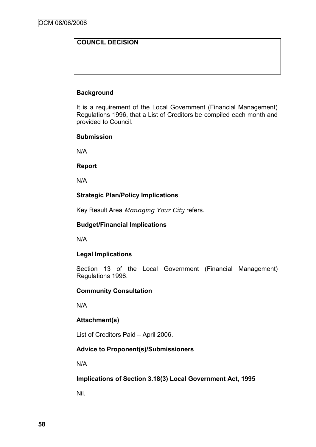# **COUNCIL DECISION**

## **Background**

It is a requirement of the Local Government (Financial Management) Regulations 1996, that a List of Creditors be compiled each month and provided to Council.

## **Submission**

N/A

## **Report**

N/A

# **Strategic Plan/Policy Implications**

Key Result Area *Managing Your City* refers.

## **Budget/Financial Implications**

N/A

# **Legal Implications**

Section 13 of the Local Government (Financial Management) Regulations 1996.

## **Community Consultation**

N/A

# **Attachment(s)**

List of Creditors Paid – April 2006.

# **Advice to Proponent(s)/Submissioners**

N/A

**Implications of Section 3.18(3) Local Government Act, 1995**

Nil.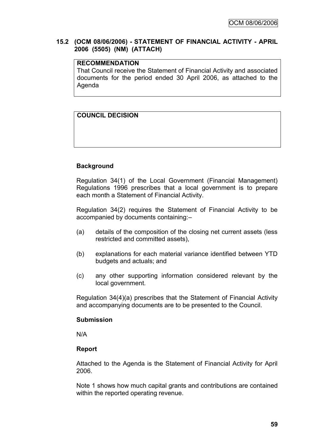## **15.2 (OCM 08/06/2006) - STATEMENT OF FINANCIAL ACTIVITY - APRIL 2006 (5505) (NM) (ATTACH)**

## **RECOMMENDATION**

That Council receive the Statement of Financial Activity and associated documents for the period ended 30 April 2006, as attached to the Agenda

# **COUNCIL DECISION**

## **Background**

Regulation 34(1) of the Local Government (Financial Management) Regulations 1996 prescribes that a local government is to prepare each month a Statement of Financial Activity.

Regulation 34(2) requires the Statement of Financial Activity to be accompanied by documents containing:–

- (a) details of the composition of the closing net current assets (less restricted and committed assets),
- (b) explanations for each material variance identified between YTD budgets and actuals; and
- (c) any other supporting information considered relevant by the local government.

Regulation 34(4)(a) prescribes that the Statement of Financial Activity and accompanying documents are to be presented to the Council.

#### **Submission**

N/A

## **Report**

Attached to the Agenda is the Statement of Financial Activity for April 2006.

Note 1 shows how much capital grants and contributions are contained within the reported operating revenue.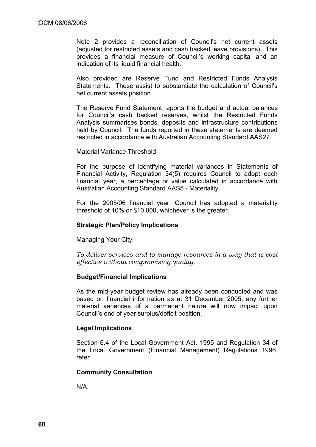Note 2 provides a reconciliation of Council's net current assets (adjusted for restricted assets and cash backed leave provisions). This provides a financial measure of Council"s working capital and an indication of its liquid financial health.

Also provided are Reserve Fund and Restricted Funds Analysis Statements. These assist to substantiate the calculation of Council"s net current assets position.

The Reserve Fund Statement reports the budget and actual balances for Council"s cash backed reserves, whilst the Restricted Funds Analysis summarises bonds, deposits and infrastructure contributions held by Council. The funds reported in these statements are deemed restricted in accordance with Australian Accounting Standard AAS27.

#### Material Variance Threshold

For the purpose of identifying material variances in Statements of Financial Activity, Regulation 34(5) requires Council to adopt each financial year, a percentage or value calculated in accordance with Australian Accounting Standard AAS5 - Materiality.

For the 2005/06 financial year, Council has adopted a materiality threshold of 10% or \$10,000, whichever is the greater.

## **Strategic Plan/Policy Implications**

Managing Your City:

*To deliver services and to manage resources in a way that is cost effective without compromising quality.*

## **Budget/Financial Implications**

As the mid-year budget review has already been conducted and was based on financial information as at 31 December 2005, any further material variances of a permanent nature will now impact upon Council"s end of year surplus/deficit position.

## **Legal Implications**

Section 6.4 of the Local Government Act, 1995 and Regulation 34 of the Local Government (Financial Management) Regulations 1996, refer.

#### **Community Consultation**

N/A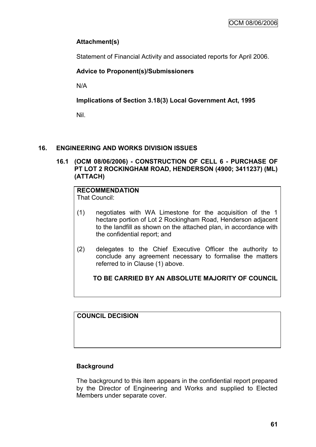# **Attachment(s)**

Statement of Financial Activity and associated reports for April 2006.

# **Advice to Proponent(s)/Submissioners**

N/A

**Implications of Section 3.18(3) Local Government Act, 1995**

Nil.

# **16. ENGINEERING AND WORKS DIVISION ISSUES**

**16.1 (OCM 08/06/2006) - CONSTRUCTION OF CELL 6 - PURCHASE OF PT LOT 2 ROCKINGHAM ROAD, HENDERSON (4900; 3411237) (ML) (ATTACH)**

# **RECOMMENDATION**

That Council:

- (1) negotiates with WA Limestone for the acquisition of the 1 hectare portion of Lot 2 Rockingham Road, Henderson adjacent to the landfill as shown on the attached plan, in accordance with the confidential report; and
- (2) delegates to the Chief Executive Officer the authority to conclude any agreement necessary to formalise the matters referred to in Clause (1) above.

**TO BE CARRIED BY AN ABSOLUTE MAJORITY OF COUNCIL**

**COUNCIL DECISION**

# **Background**

The background to this item appears in the confidential report prepared by the Director of Engineering and Works and supplied to Elected Members under separate cover.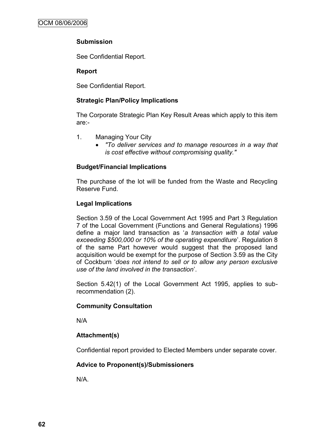# **Submission**

See Confidential Report.

## **Report**

See Confidential Report.

# **Strategic Plan/Policy Implications**

The Corporate Strategic Plan Key Result Areas which apply to this item are:-

- 1. Managing Your City
	- *"To deliver services and to manage resources in a way that is cost effective without compromising quality."*

# **Budget/Financial Implications**

The purchase of the lot will be funded from the Waste and Recycling Reserve Fund.

# **Legal Implications**

Section 3.59 of the Local Government Act 1995 and Part 3 Regulation 7 of the Local Government (Functions and General Regulations) 1996 define a major land transaction as "*a transaction with a total value exceeding \$500,000 or 10% of the operating expenditure*". Regulation 8 of the same Part however would suggest that the proposed land acquisition would be exempt for the purpose of Section 3.59 as the City of Cockburn "*does not intend to sell or to allow any person exclusive use of the land involved in the transaction*".

Section 5.42(1) of the Local Government Act 1995, applies to subrecommendation (2).

# **Community Consultation**

N/A

# **Attachment(s)**

Confidential report provided to Elected Members under separate cover.

# **Advice to Proponent(s)/Submissioners**

N/A.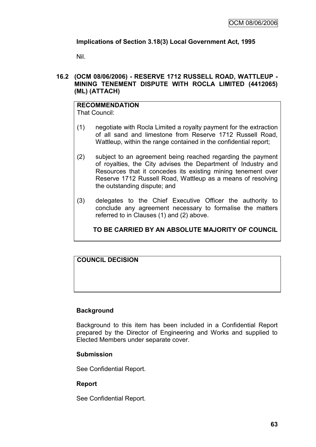# **Implications of Section 3.18(3) Local Government Act, 1995**

Nil.

## **16.2 (OCM 08/06/2006) - RESERVE 1712 RUSSELL ROAD, WATTLEUP - MINING TENEMENT DISPUTE WITH ROCLA LIMITED (4412065) (ML) (ATTACH)**

# **RECOMMENDATION**

That Council:

- (1) negotiate with Rocla Limited a royalty payment for the extraction of all sand and limestone from Reserve 1712 Russell Road, Wattleup, within the range contained in the confidential report;
- (2) subject to an agreement being reached regarding the payment of royalties, the City advises the Department of Industry and Resources that it concedes its existing mining tenement over Reserve 1712 Russell Road, Wattleup as a means of resolving the outstanding dispute; and
- (3) delegates to the Chief Executive Officer the authority to conclude any agreement necessary to formalise the matters referred to in Clauses (1) and (2) above.

# **TO BE CARRIED BY AN ABSOLUTE MAJORITY OF COUNCIL**

# **COUNCIL DECISION**

# **Background**

Background to this item has been included in a Confidential Report prepared by the Director of Engineering and Works and supplied to Elected Members under separate cover.

## **Submission**

See Confidential Report.

# **Report**

See Confidential Report.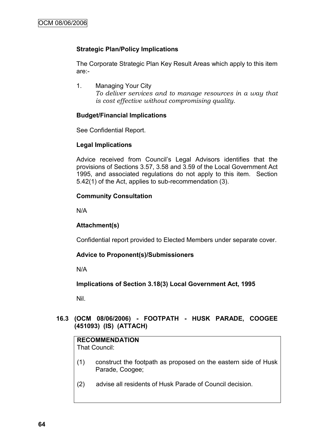## **Strategic Plan/Policy Implications**

The Corporate Strategic Plan Key Result Areas which apply to this item are:-

1. Managing Your City *To deliver services and to manage resources in a way that is cost effective without compromising quality.*

## **Budget/Financial Implications**

See Confidential Report.

## **Legal Implications**

Advice received from Council"s Legal Advisors identifies that the provisions of Sections 3.57, 3.58 and 3.59 of the Local Government Act 1995, and associated regulations do not apply to this item. Section 5.42(1) of the Act, applies to sub-recommendation (3).

## **Community Consultation**

N/A

## **Attachment(s)**

Confidential report provided to Elected Members under separate cover.

# **Advice to Proponent(s)/Submissioners**

N/A

**Implications of Section 3.18(3) Local Government Act, 1995**

Nil.

# **16.3 (OCM 08/06/2006) - FOOTPATH - HUSK PARADE, COOGEE (451093) (IS) (ATTACH)**

## **RECOMMENDATION**

That Council:

- (1) construct the footpath as proposed on the eastern side of Husk Parade, Coogee;
- (2) advise all residents of Husk Parade of Council decision.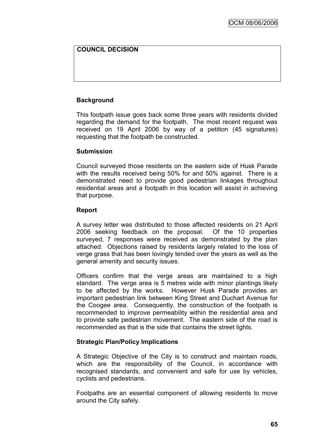# **COUNCIL DECISION**

## **Background**

This footpath issue goes back some three years with residents divided regarding the demand for the footpath. The most recent request was received on 19 April 2006 by way of a petition (45 signatures) requesting that the footpath be constructed.

#### **Submission**

Council surveyed those residents on the eastern side of Husk Parade with the results received being 50% for and 50% against. There is a demonstrated need to provide good pedestrian linkages throughout residential areas and a footpath in this location will assist in achieving that purpose.

## **Report**

A survey letter was distributed to those affected residents on 21 April 2006 seeking feedback on the proposal. Of the 10 properties surveyed, 7 responses were received as demonstrated by the plan attached. Objections raised by residents largely related to the loss of verge grass that has been lovingly tended over the years as well as the general amenity and security issues.

Officers confirm that the verge areas are maintained to a high standard. The verge area is 5 metres wide with minor plantings likely to be affected by the works. However Husk Parade provides an important pedestrian link between King Street and Duchart Avenue for the Coogee area. Consequently, the construction of the footpath is recommended to improve permeability within the residential area and to provide safe pedestrian movement. The eastern side of the road is recommended as that is the side that contains the street lights.

## **Strategic Plan/Policy Implications**

A Strategic Objective of the City is to construct and maintain roads, which are the responsibility of the Council, in accordance with recognised standards, and convenient and safe for use by vehicles, cyclists and pedestrians.

Footpaths are an essential component of allowing residents to move around the City safely.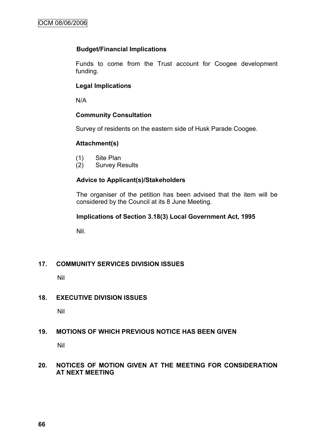## **Budget/Financial Implications**

Funds to come from the Trust account for Coogee development funding.

## **Legal Implications**

N/A

## **Community Consultation**

Survey of residents on the eastern side of Husk Parade Coogee.

## **Attachment(s)**

- (1) Site Plan
- (2) Survey Results

# **Advice to Applicant(s)/Stakeholders**

The organiser of the petition has been advised that the item will be considered by the Council at its 8 June Meeting.

## **Implications of Section 3.18(3) Local Government Act, 1995**

Nil.

# **17. COMMUNITY SERVICES DIVISION ISSUES**

Nil

# **18. EXECUTIVE DIVISION ISSUES**

Nil

# **19. MOTIONS OF WHICH PREVIOUS NOTICE HAS BEEN GIVEN**

Nil

## **20. NOTICES OF MOTION GIVEN AT THE MEETING FOR CONSIDERATION AT NEXT MEETING**